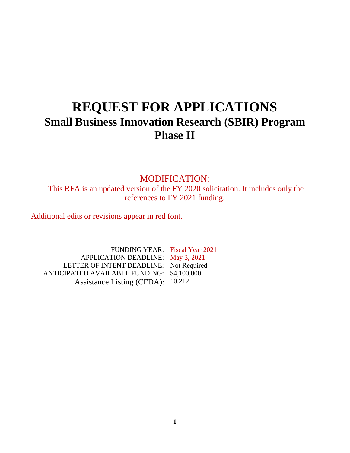# **REQUEST FOR APPLICATIONS Small Business Innovation Research (SBIR) Program Phase II**

MODIFICATION: This RFA is an updated version of the FY 2020 solicitation. It includes only the references to FY 2021 funding;

Additional edits or revisions appear in red font.

FUNDING YEAR: Fiscal Year 2021 APPLICATION DEADLINE: May 3, 2021 LETTER OF INTENT DEADLINE: Not Required ANTICIPATED AVAILABLE FUNDING: \$4,100,000 Assistance Listing (CFDA): 10.212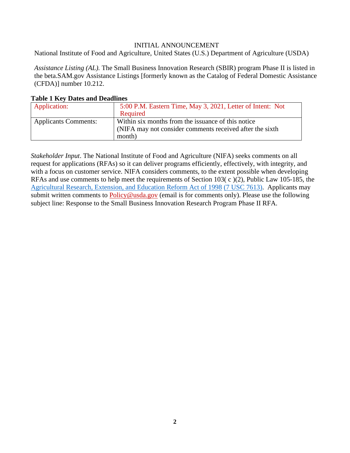#### INITIAL ANNOUNCEMENT

<span id="page-1-0"></span>National Institute of Food and Agriculture, United States (U.S.) Department of Agriculture (USDA)

*Assistance Listing (AL).* The Small Business Innovation Research (SBIR) program Phase II is listed in the beta.SAM.gov Assistance Listings [formerly known as the Catalog of Federal Domestic Assistance (CFDA)] number 10.212.

| Tuble 1 Inc , Dutto und Deutmites |                                                            |
|-----------------------------------|------------------------------------------------------------|
| Application:                      | 5:00 P.M. Eastern Time, May 3, 2021, Letter of Intent: Not |
|                                   | Required                                                   |
| <b>Applicants Comments:</b>       | Within six months from the issuance of this notice         |
|                                   | (NIFA may not consider comments received after the sixth)  |
|                                   | month)                                                     |

#### <span id="page-1-1"></span>**Table 1 Key Dates and Deadlines**

*Stakeholder Input*. The National Institute of Food and Agriculture (NIFA) seeks comments on all request for applications (RFAs) so it can deliver programs efficiently, effectively, with integrity, and with a focus on customer service. NIFA considers comments, to the extent possible when developing RFAs and use comments to help meet the requirements of Section 103( c )(2), Public Law 105-185, the [Agricultural](https://uscode.house.gov/statutes/pl/105/185.pdf) Research, Extension, and Education Reform Act of 1998 (7 USC [7613\).](https://uscode.house.gov/view.xhtml?req=(title:7%2520section:7613%2520edition:prelim)%2520OR%2520(granuleid:USC-prelim-title7-section7613)&f=treesort&edition=prelim&num=0&jumpTo=true) Applicants may submit written comments to [Policy@usda.gov](mailto:Policy@usda.gov) (email is for comments only). Please use the following subject line: Response to the Small Business Innovation Research Program Phase II RFA.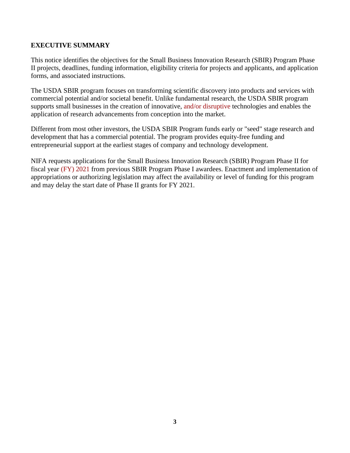# <span id="page-2-0"></span>**EXECUTIVE SUMMARY**

This notice identifies the objectives for the Small Business Innovation Research (SBIR) Program Phase II projects, deadlines, funding information, eligibility criteria for projects and applicants, and application forms, and associated instructions.

The USDA SBIR program focuses on transforming scientific discovery into products and services with commercial potential and/or societal benefit. Unlike fundamental research, the USDA SBIR program supports small businesses in the creation of innovative, and/or disruptive technologies and enables the application of research advancements from conception into the market.

Different from most other investors, the USDA SBIR Program funds early or "seed" stage research and development that has a commercial potential. The program provides equity-free funding and entrepreneurial support at the earliest stages of company and technology development.

NIFA requests applications for the Small Business Innovation Research (SBIR) Program Phase II for fiscal year (FY) 2021 from previous SBIR Program Phase I awardees. Enactment and implementation of appropriations or authorizing legislation may affect the availability or level of funding for this program and may delay the start date of Phase II grants for FY 2021.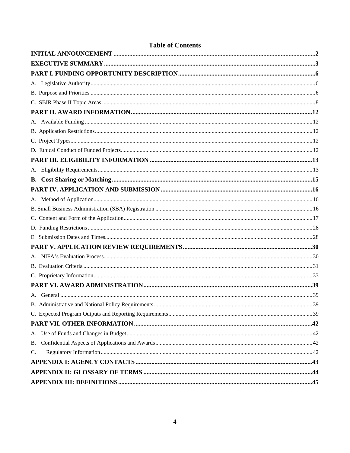| <b>Table of Contents</b> |  |
|--------------------------|--|
|                          |  |
|                          |  |
|                          |  |
|                          |  |
|                          |  |
|                          |  |
|                          |  |
|                          |  |
|                          |  |
|                          |  |
|                          |  |
|                          |  |
|                          |  |
|                          |  |
|                          |  |
|                          |  |
|                          |  |
|                          |  |
|                          |  |
|                          |  |
|                          |  |
|                          |  |
|                          |  |
|                          |  |
|                          |  |
|                          |  |
|                          |  |
|                          |  |
|                          |  |
|                          |  |
| <b>B.</b>                |  |
| C.                       |  |
|                          |  |
|                          |  |
|                          |  |

 $\overline{\mathbf{4}}$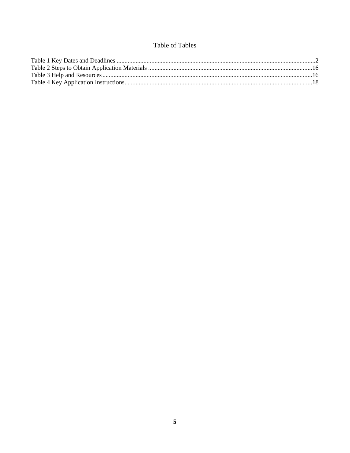# Table of Tables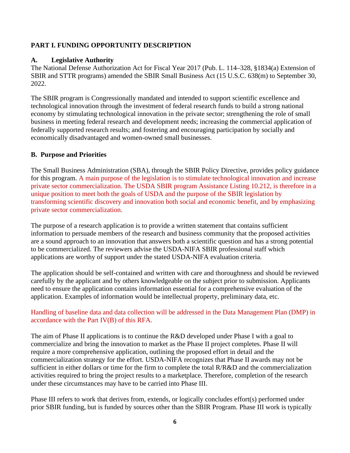# <span id="page-5-0"></span>**PART I. FUNDING OPPORTUNITY DESCRIPTION**

# <span id="page-5-1"></span>**A. Legislative Authority**

The National Defense Authorization Act for Fiscal Year 2017 (Pub. L. 114–328, §1834(a) Extension of SBIR and STTR programs) amended the SBIR Small Business Act (15 U.S.C. 638(m) to September 30, 2022.

The SBIR program is Congressionally mandated and intended to support scientific excellence and technological innovation through the investment of federal research funds to build a strong national economy by stimulating technological innovation in the private sector; strengthening the role of small business in meeting federal research and development needs; increasing the commercial application of federally supported research results; and fostering and encouraging participation by socially and economically disadvantaged and women-owned small businesses.

# <span id="page-5-2"></span>**B. Purpose and Priorities**

The Small Business Administration (SBA), through the SBIR Policy Directive, provides policy guidance for this program. A main purpose of the legislation is to stimulate technological innovation and increase private sector commercialization. The USDA SBIR program Assistance Listing 10.212, is therefore in a unique position to meet both the goals of USDA and the purpose of the SBIR legislation by transforming scientific discovery and innovation both social and economic benefit, and by emphasizing private sector commercialization.

The purpose of a research application is to provide a written statement that contains sufficient information to persuade members of the research and business community that the proposed activities are a sound approach to an innovation that answers both a scientific question and has a strong potential to be commercialized. The reviewers advise the USDA-NIFA SBIR professional staff which applications are worthy of support under the stated USDA-NIFA evaluation criteria.

The application should be self-contained and written with care and thoroughness and should be reviewed carefully by the applicant and by others knowledgeable on the subject prior to submission. Applicants need to ensure the application contains information essential for a comprehensive evaluation of the application. Examples of information would be intellectual property, preliminary data, etc.

# Handling of baseline data and data collection will be addressed in the Data Management Plan (DMP) in accordance with the Part IV(B) of this RFA.

The aim of Phase II applications is to continue the R&D developed under Phase I with a goal to commercialize and bring the innovation to market as the Phase II project completes. Phase II will require a more comprehensive application, outlining the proposed effort in detail and the commercialization strategy for the effort. USDA-NIFA recognizes that Phase II awards may not be sufficient in either dollars or time for the firm to complete the total R/R&D and the commercialization activities required to bring the project results to a marketplace. Therefore, completion of the research under these circumstances may have to be carried into Phase III.

Phase III refers to work that derives from, extends, or logically concludes effort(s) performed under prior SBIR funding, but is funded by sources other than the SBIR Program. Phase III work is typically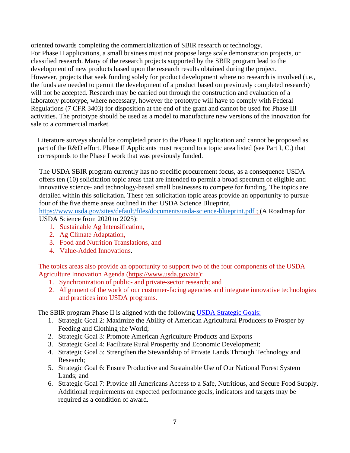oriented towards completing the commercialization of SBIR research or technology. For Phase II applications, a small business must not propose large scale demonstration projects, or classified research. Many of the research projects supported by the SBIR program lead to the development of new products based upon the research results obtained during the project. However, projects that seek funding solely for product development where no research is involved (i.e., the funds are needed to permit the development of a product based on previously completed research) will not be accepted. Research may be carried out through the construction and evaluation of a laboratory prototype, where necessary, however the prototype will have to comply with Federal Regulations (7 CFR 3403) for disposition at the end of the grant and cannot be used for Phase III activities. The prototype should be used as a model to manufacture new versions of the innovation for sale to a commercial market.

Literature surveys should be completed prior to the Phase II application and cannot be proposed as part of the R&D effort. Phase II Applicants must respond to a topic area listed (see Part I, C.) that corresponds to the Phase I work that was previously funded.

The USDA SBIR program currently has no specific procurement focus, as a consequence USDA offers ten (10) solicitation topic areas that are intended to permit a broad spectrum of eligible and innovative science- and technology-based small businesses to compete for funding. The topics are detailed within this solicitation. These ten solicitation topic areas provide an opportunity to pursue four of the five theme areas outlined in the: USDA Science Blueprint,

<https://www.usda.gov/sites/default/files/documents/usda-science-blueprint.pdf> ; (A Roadmap for USDA Science from 2020 to 2025):

- 1. Sustainable Ag Intensification,
- 2. Ag Climate Adaptation,
- 3. Food and Nutrition Translations, and
- 4. Value-Added Innovations.

The topics areas also provide an opportunity to support two of the four components of the USDA Agriculture Innovation Agenda [\(https://www.usda.gov/aia\):](https://www.usda.gov/aia)

- 1. Synchronization of public- and private-sector research; and
- 2. Alignment of the work of our customer-facing agencies and integrate innovative technologies and practices into USDA programs.

The SBIR program Phase II is aligned with the following USDA [Strategic](https://www.usda.gov/sites/default/files/documents/usda-strategic-plan-2018-2022.pdf) Goals:

- 1. Strategic Goal 2: Maximize the Ability of American Agricultural Producers to Prosper by Feeding and Clothing the World;
- 2. Strategic Goal 3: Promote American Agriculture Products and Exports
- 3. Strategic Goal 4: Facilitate Rural Prosperity and Economic Development;
- 4. Strategic Goal 5: Strengthen the Stewardship of Private Lands Through Technology and Research;
- 5. Strategic Goal 6: Ensure Productive and Sustainable Use of Our National Forest System Lands; and
- 6. Strategic Goal 7: Provide all Americans Access to a Safe, Nutritious, and Secure Food Supply. Additional requirements on expected performance goals, indicators and targets may be required as a condition of award.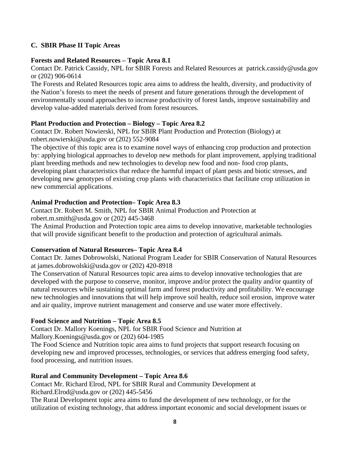# <span id="page-7-0"></span>**C. SBIR Phase II Topic Areas**

## **Forests and Related Resources – Topic Area 8.1**

Contact Dr. Patrick Cassidy, NPL for SBIR Forests and Related Resources at patrick.cassidy@usda.gov or (202) 906-0614

The Forests and Related Resources topic area aims to address the health, diversity, and productivity of the Nation's forests to meet the needs of present and future generations through the development of environmentally sound approaches to increase productivity of forest lands, improve sustainability and develop value-added materials derived from forest resources.

# **Plant Production and Protection – Biology – Topic Area 8.2**

Contact Dr. Robert Nowierski, NPL for SBIR Plant Production and Protection (Biology) at robert.nowierski@usda.gov or (202) 552-9084

The objective of this topic area is to examine novel ways of enhancing crop production and protection by: applying biological approaches to develop new methods for plant improvement, applying traditional plant breeding methods and new technologies to develop new food and non- food crop plants, developing plant characteristics that reduce the harmful impact of plant pests and biotic stresses, and developing new genotypes of existing crop plants with characteristics that facilitate crop utilization in new commercial applications.

## **Animal Production and Protection– Topic Area 8.3**

Contact Dr. Robert M. Smith, NPL for SBIR Animal Production and Protection at robert.m.smith@usda.gov or (202) 445-3468

The Animal Production and Protection topic area aims to develop innovative, marketable technologies that will provide significant benefit to the production and protection of agricultural animals.

# **Conservation of Natural Resources– Topic Area 8.4**

Contact Dr. James Dobrowolski, National Program Leader for SBIR Conservation of Natural Resources at james.dobrowolski@usda.gov or (202) 420-8918

The Conservation of Natural Resources topic area aims to develop innovative technologies that are developed with the purpose to conserve, monitor, improve and/or protect the quality and/or quantity of natural resources while sustaining optimal farm and forest productivity and profitability. We encourage new technologies and innovations that will help improve soil health, reduce soil erosion, improve water and air quality, improve nutrient management and conserve and use water more effectively.

# **Food Science and Nutrition – Topic Area 8.5**

Contact Dr. Mallory Koenings, NPL for SBIR Food Science and Nutrition at Mallory.Koenings@usda.gov or (202) 604-1985

The Food Science and Nutrition topic area aims to fund projects that support research focusing on developing new and improved processes, technologies, or services that address emerging food safety, food processing, and nutrition issues.

# **Rural and Community Development – Topic Area 8.6**

Contact Mr. Richard Elrod, NPL for SBIR Rural and Community Development at

Richard.Elrod@usda.gov or (202) 445-5456

The Rural Development topic area aims to fund the development of new technology, or for the utilization of existing technology, that address important economic and social development issues or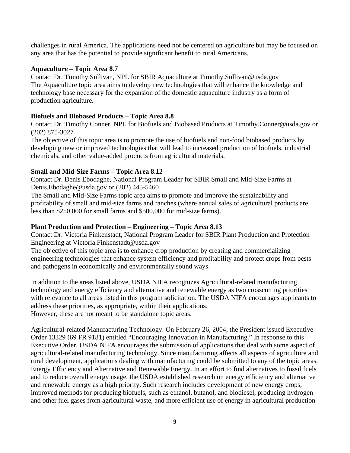challenges in rural America. The applications need not be centered on agriculture but may be focused on any area that has the potential to provide significant benefit to rural Americans.

## **Aquaculture – Topic Area 8.7**

Contact Dr. Timothy Sullivan, NPL for SBIR Aquaculture at Timothy.Sullivan@usda.gov The Aquaculture topic area aims to develop new technologies that will enhance the knowledge and technology base necessary for the expansion of the domestic aquaculture industry as a form of production agriculture.

# **Biofuels and Biobased Products – Topic Area 8.8**

Contact Dr. Timothy Conner, NPL for Biofuels and Biobased Products at Timothy.Conner@usda.gov or (202) 875-3027

The objective of this topic area is to promote the use of biofuels and non-food biobased products by developing new or improved technologies that will lead to increased production of biofuels, industrial chemicals, and other value-added products from agricultural materials.

## **Small and Mid-Size Farms – Topic Area 8.12**

Contact Dr. Denis Ebodaghe, National Program Leader for SBIR Small and Mid-Size Farms at Denis.Ebodaghe@usda.gov or (202) 445-5460

The Small and Mid-Size Farms topic area aims to promote and improve the sustainability and profitability of small and mid-size farms and ranches (where annual sales of agricultural products are less than \$250,000 for small farms and \$500,000 for mid-size farms).

#### **Plant Production and Protection – Engineering – Topic Area 8.13**

Contact Dr. Victoria Finkenstadt, National Program Leader for SBIR Plant Production and Protection Engineering at Victoria.Finkenstadt@usda.gov

The objective of this topic area is to enhance crop production by creating and commercializing engineering technologies that enhance system efficiency and profitability and protect crops from pests and pathogens in economically and environmentally sound ways.

In addition to the areas listed above, USDA NIFA recognizes Agricultural-related manufacturing technology and energy efficiency and alternative and renewable energy as two crosscutting priorities with relevance to all areas listed in this program solicitation. The USDA NIFA encourages applicants to address these priorities, as appropriate, within their applications. However, these are not meant to be standalone topic areas.

Agricultural-related Manufacturing Technology. On February 26, 2004, the President issued Executive Order 13329 (69 FR 9181) entitled "Encouraging Innovation in Manufacturing." In response to this Executive Order, USDA NIFA encourages the submission of applications that deal with some aspect of agricultural-related manufacturing technology. Since manufacturing affects all aspects of agriculture and rural development, applications dealing with manufacturing could be submitted to any of the topic areas. Energy Efficiency and Alternative and Renewable Energy. In an effort to find alternatives to fossil fuels and to reduce overall energy usage, the USDA established research on energy efficiency and alternative and renewable energy as a high priority. Such research includes development of new energy crops, improved methods for producing biofuels, such as ethanol, butanol, and biodiesel, producing hydrogen and other fuel gases from agricultural waste, and more efficient use of energy in agricultural production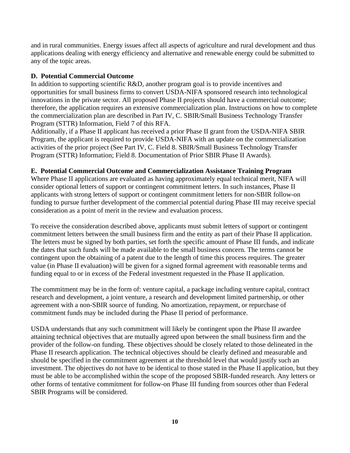and in rural communities. Energy issues affect all aspects of agriculture and rural development and thus applications dealing with energy efficiency and alternative and renewable energy could be submitted to any of the topic areas.

# **D. Potential Commercial Outcome**

In addition to supporting scientific R&D, another program goal is to provide incentives and opportunities for small business firms to convert USDA-NIFA sponsored research into technological innovations in the private sector. All proposed Phase II projects should have a commercial outcome; therefore, the application requires an extensive commercialization plan. Instructions on how to complete the commercialization plan are described in Part IV, C. SBIR/Small Business Technology Transfer Program (STTR) Information, Field 7 of this RFA.

Additionally, if a Phase II applicant has received a prior Phase II grant from the USDA-NIFA SBIR Program, the applicant is required to provide USDA-NIFA with an update on the commercialization activities of the prior project (See Part IV, C. Field 8. SBIR/Small Business Technology Transfer Program (STTR) Information; Field 8. Documentation of Prior SBIR Phase II Awards).

## **E. Potential Commercial Outcome and Commercialization Assistance Training Program**

Where Phase II applications are evaluated as having approximately equal technical merit, NIFA will consider optional letters of support or contingent commitment letters. In such instances, Phase II applicants with strong letters of support or contingent commitment letters for non-SBIR follow-on funding to pursue further development of the commercial potential during Phase III may receive special consideration as a point of merit in the review and evaluation process.

To receive the consideration described above, applicants must submit letters of support or contingent commitment letters between the small business firm and the entity as part of their Phase II application. The letters must be signed by both parties, set forth the specific amount of Phase III funds, and indicate the dates that such funds will be made available to the small business concern. The terms cannot be contingent upon the obtaining of a patent due to the length of time this process requires. The greater value (in Phase II evaluation) will be given for a signed formal agreement with reasonable terms and funding equal to or in excess of the Federal investment requested in the Phase II application.

The commitment may be in the form of: venture capital, a package including venture capital, contract research and development, a joint venture, a research and development limited partnership, or other agreement with a non-SBIR source of funding. No amortization, repayment, or repurchase of commitment funds may be included during the Phase II period of performance.

USDA understands that any such commitment will likely be contingent upon the Phase II awardee attaining technical objectives that are mutually agreed upon between the small business firm and the provider of the follow-on funding. These objectives should be closely related to those delineated in the Phase II research application. The technical objectives should be clearly defined and measurable and should be specified in the commitment agreement at the threshold level that would justify such an investment. The objectives do not have to be identical to those stated in the Phase II application, but they must be able to be accomplished within the scope of the proposed SBIR-funded research. Any letters or other forms of tentative commitment for follow-on Phase III funding from sources other than Federal SBIR Programs will be considered.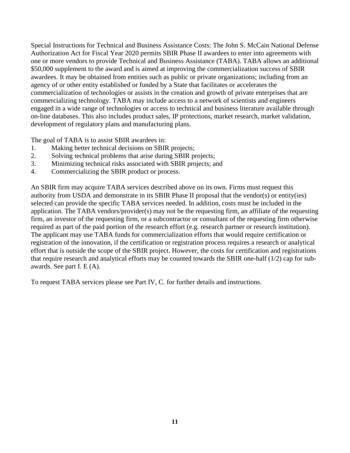Special Instructions for Technical and Business Assistance Costs: The John S. McCain National Defense Authorization Act for Fiscal Year 2020 permits SBIR Phase II awardees to enter into agreements with one or more vendors to provide Technical and Business Assistance (TABA). TABA allows an additional \$50,000 supplement to the award and is aimed at improving the commercialization success of SBIR awardees. It may be obtained from entities such as public or private organizations; including from an agency of or other entity established or funded by a State that facilitates or accelerates the commercialization of technologies or assists in the creation and growth of private enterprises that are commercializing technology. TABA may include access to a network of scientists and engineers engaged in a wide range of technologies or access to technical and business literature available through on-line databases. This also includes product sales, IP protections, market research, market validation, development of regulatory plans and manufacturing plans.

The goal of TABA is to assist SBIR awardees in:

- 1. Making better technical decisions on SBIR projects;
- 2. Solving technical problems that arise during SBIR projects;
- 3. Minimizing technical risks associated with SBIR projects; and
- 4. Commercializing the SBIR product or process.

An SBIR firm may acquire TABA services described above on its own. Firms must request this authority from USDA and demonstrate in its SBIR Phase II proposal that the vendor(s) or entity(ies) selected can provide the specific TABA services needed. In addition, costs must be included in the application. The TABA vendors/provider(s) may not be the requesting firm, an affiliate of the requesting firm, an investor of the requesting firm, or a subcontractor or consultant of the requesting firm otherwise required as part of the paid portion of the research effort (e.g. research partner or research institution). The applicant may use TABA funds for commercialization efforts that would require certification or registration of the innovation, if the certification or registration process requires a research or analytical effort that is outside the scope of the SBIR project. However, the costs for certification and registrations that require research and analytical efforts may be counted towards the SBIR one-half (1/2) cap for subawards. See part I. E (A).

To request TABA services please see Part IV, C. for further details and instructions.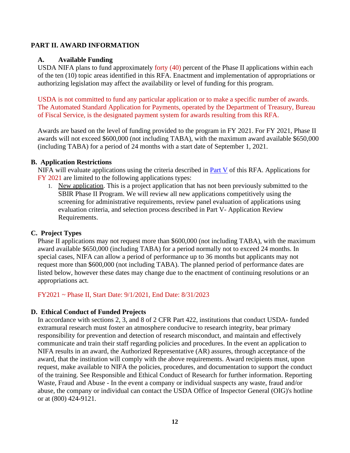## <span id="page-11-0"></span>**PART II. AWARD INFORMATION**

#### <span id="page-11-1"></span>**A. Available Funding**

USDA NIFA plans to fund approximately forty (40) percent of the Phase II applications within each of the ten (10) topic areas identified in this RFA. Enactment and implementation of appropriations or authorizing legislation may affect the availability or level of funding for this program.

USDA is not committed to fund any particular application or to make a specific number of awards. The [Automated](https://www.fiscal.treasury.gov/fsservices/gov/pmt/asap/asap_home.htm) Standard [Application](https://www.fiscal.treasury.gov/fsservices/gov/pmt/asap/asap_home.htm) for Payments, operated by the Department of Treasury, Bureau of Fiscal Service, is the designated payment system for awards resulting from this RFA.

Awards are based on the level of funding provided to the program in FY 2021. For FY 2021, Phase II awards will not exceed \$600,000 (not including TABA), with the maximum award available \$650,000 (including TABA) for a period of 24 months with a start date of September 1, 2021.

#### <span id="page-11-2"></span>**B. Application Restrictions**

NIFA will evaluate applications using the criteria described in Part V of this RFA. Applications for FY 2021 are limited to the following applications types:

1. New application. This is a project application that has not been previously submitted to the SBIR Phase II Program. We will review all new applications competitively using the screening for administrative requirements, review panel evaluation of applications using evaluation criteria, and selection process described in Part V- Application Review Requirements.

# <span id="page-11-3"></span>**C. Project Types**

Phase II applications may not request more than \$600,000 (not including TABA), with the maximum award available \$650,000 (including TABA) for a period normally not to exceed 24 months. In special cases, NIFA can allow a period of performance up to 36 months but applicants may not request more than \$600,000 (not including TABA). The planned period of performance dates are listed below, however these dates may change due to the enactment of continuing resolutions or an appropriations act.

FY2021 ~ Phase II, Start Date: 9/1/2021, End Date: 8/31/2023

# <span id="page-11-4"></span>**D. Ethical Conduct of Funded Projects**

In accordance with sections 2, 3, and 8 of 2 [CFR](https://ecfr.io/Title-02/pt2.1.422) Part 422, institutions that conduct USDA- funded extramural research must foster an atmosphere conducive to research integrity, bear primary responsibility for prevention and detection of research misconduct, and maintain and effectively communicate and train their staff regarding policies and procedures. In the event an application to NIFA results in an award, the Authorized Representative (AR) assures, through acceptance of the award, that the institution will comply with the above requirements. Award recipients must, upon request, make available to NIFA the policies, procedures, and documentation to support the conduct of the training. See [Responsible](https://nifa.usda.gov/responsible-and-ethical-conduct-research) and Ethical Conduct of [Research](https://nifa.usda.gov/responsible-and-ethical-conduct-research) for further information. Reporting Waste, Fraud and Abuse - In the event a company or individual suspects any waste, fraud and/or abuse, the company or individual can contact the USDA Office of Inspector General (OIG)'s [hotline](https://www.usda.gov/oig/hotline.htm) or at (800) 424-9121.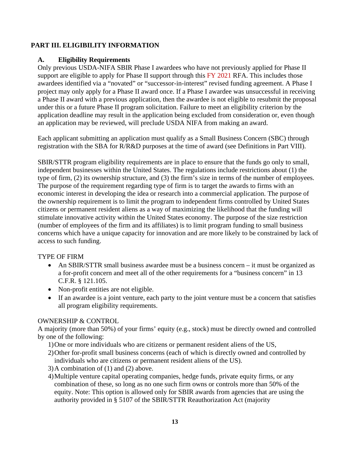# <span id="page-12-0"></span>**PART III. ELIGIBILITY INFORMATION**

# <span id="page-12-1"></span>**A. Eligibility Requirements**

Only previous USDA-NIFA SBIR Phase I awardees who have not previously applied for Phase II support are eligible to apply for Phase II support through this FY 2021 RFA. This includes those awardees identified via a "novated" or "successor-in-interest" revised funding agreement. A Phase I project may only apply for a Phase II award once. If a Phase I awardee was unsuccessful in receiving a Phase II award with a previous application, then the awardee is not eligible to resubmit the proposal under this or a future Phase II program solicitation. Failure to meet an eligibility criterion by the application deadline may result in the application being excluded from consideration or, even though an application may be reviewed, will preclude USDA NIFA from making an award.

Each applicant submitting an application must qualify as a Small Business Concern (SBC) through registration with the SBA for R/R&D purposes at the time of award (see Definitions in Part VIII).

SBIR/STTR program eligibility requirements are in place to ensure that the funds go only to small, independent businesses within the United States. The regulations include restrictions about (1) the type of firm, (2) its ownership structure, and (3) the firm's size in terms of the number of employees. The purpose of the requirement regarding type of firm is to target the awards to firms with an economic interest in developing the idea or research into a commercial application. The purpose of the ownership requirement is to limit the program to independent firms controlled by United States citizens or permanent resident aliens as a way of maximizing the likelihood that the funding will stimulate innovative activity within the United States economy. The purpose of the size restriction (number of employees of the firm and its affiliates) is to limit program funding to small business concerns which have a unique capacity for innovation and are more likely to be constrained by lack of access to such funding.

# TYPE OF FIRM

- An SBIR/STTR small business awardee must be a business concern it must be organized as a for-profit concern and meet all of the other requirements for a "business concern" in 13 C.F.R. § 121.105.
- Non-profit entities are not eligible.
- If an awardee is a joint venture, each party to the joint venture must be a concern that satisfies all program eligibility requirements.

# OWNERSHIP & CONTROL

A majority (more than 50%) of your firms' equity (e.g., stock) must be directly owned and controlled by one of the following:

- 1)One or more individuals who are citizens or permanent resident aliens of the US,
- 2)Other for-profit small business concerns (each of which is directly owned and controlled by individuals who are citizens or permanent resident aliens of the US).
- 3)A combination of (1) and (2) above.
- 4)Multiple venture capital operating companies, hedge funds, private equity firms, or any combination of these, so long as no one such firm owns or controls more than 50% of the equity. Note: This option is allowed only for SBIR awards from agencies that are using the authority provided in § 5107 of the SBIR/STTR Reauthorization Act (majority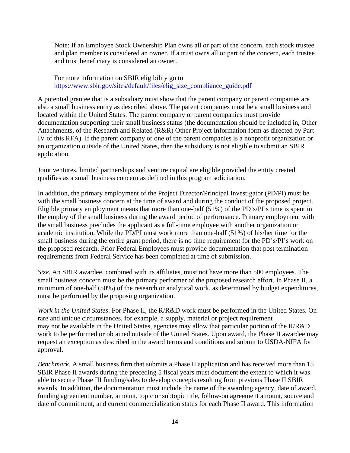Note: If an Employee Stock Ownership Plan owns all or part of the concern, each stock trustee and plan member is considered an owner. If a trust owns all or part of the concern, each trustee and trust beneficiary is considered an owner.

For more information on SBIR eligibility go to [https://www.sbir.gov/sites/default/files/elig\\_size\\_compliance\\_guide.pdf](https://www.sbir.gov/sites/default/files/elig_size_compliance_guide.pdf)

A potential grantee that is a subsidiary must show that the parent company or parent companies are also a small business entity as described above. The parent companies must be a small business and located within the United States. The parent company or parent companies must provide documentation supporting their small business status (the documentation should be included in, Other Attachments, of the Research and Related (R&R) Other Project Information form as directed by Part IV of this RFA). If the parent company or one of the parent companies is a nonprofit organization or an organization outside of the United States, then the subsidiary is not eligible to submit an SBIR application.

Joint ventures, limited partnerships and venture capital are eligible provided the entity created qualifies as a small business concern as defined in this program solicitation.

In addition, the primary employment of the Project Director/Principal Investigator (PD/PI) must be with the small business concern at the time of award and during the conduct of the proposed project. Eligible primary employment means that more than one-half (51%) of the PD's/PI's time is spent in the employ of the small business during the award period of performance. Primary employment with the small business precludes the applicant as a full-time employee with another organization or academic institution. While the PD/PI must work more than one-half (51%) of his/her time for the small business during the entire grant period, there is no time requirement for the PD's/PI's work on the proposed research. Prior Federal Employees must provide documentation that post termination requirements from Federal Service has been completed at time of submission.

*Size*. An SBIR awardee, combined with its affiliates, must not have more than 500 employees. The small business concern must be the primary performer of the proposed research effort. In Phase II, a minimum of one-half (50%) of the research or analytical work, as determined by budget expenditures, must be performed by the proposing organization.

*Work in the United States*. For Phase II, the R/R&D work must be performed in the United States. On rare and unique circumstances, for example, a supply, material or project requirement may not be available in the United States, agencies may allow that particular portion of the R/R&D work to be performed or obtained outside of the United States. Upon award, the Phase II awardee may request an exception as described in the award terms and conditions and submit to USDA-NIFA for approval.

*Benchmark*. A small business firm that submits a Phase II application and has received more than 15 SBIR Phase II awards during the preceding 5 fiscal years must document the extent to which it was able to secure Phase III funding/sales to develop concepts resulting from previous Phase II SBIR awards. In addition, the documentation must include the name of the awarding agency, date of award, funding agreement number, amount, topic or subtopic title, follow-on agreement amount, source and date of commitment, and current commercialization status for each Phase II award. This information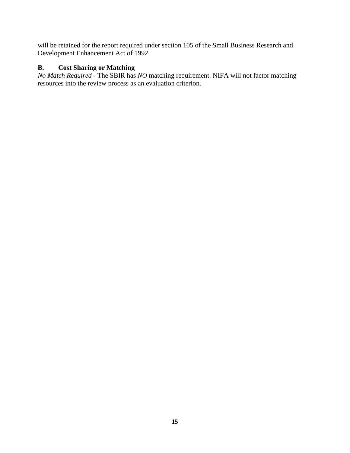will be retained for the report required under section 105 of the Small Business Research and Development Enhancement Act of 1992.

# <span id="page-14-0"></span>**B. Cost Sharing or Matching**

*No Match Required* - The SBIR has *NO* matching requirement. NIFA will not factor matching resources into the review process as an evaluation criterion.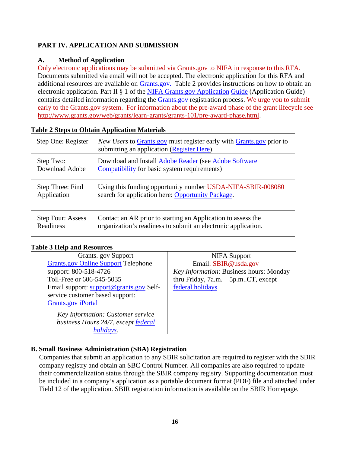# <span id="page-15-0"></span>**PART IV. APPLICATION AND SUBMISSION**

# <span id="page-15-1"></span>**A. Method of Application**

Only electronic applications may be submitted via Grants.gov to NIFA in response to this RFA. Documents submitted via email will not be accepted. The electronic application for this RFA and additional resources are available on [Grants.gov.](https://www.grants.gov/) Table 2 provides instructions on how to obtain an electronic application. Part II § 1 of the NIFA Grants.gov [Application](https://apply07.grants.gov/apply/opportunities/instructions/PKG00249520-instructions.pdf) [Guide](https://apply07.grants.gov/apply/opportunities/instructions/PKG00249520-instructions.pdf) (Application Guide) contains detailed information regarding the [Grants.gov](https://www.grants.gov/) registration process. We urge you to submit early to the Grants.gov system. For information about the pre-award phase of the grant lifecycle see [http://www.grants.gov/web/grants/learn-grants/grants-101/pre-award-phase.html.](http://www.grants.gov/web/grants/learn-grants/grants-101/pre-award-phase.html)

| Step One: Register       | <i>New Users</i> to Grants.gov must register early with Grants.gov prior to<br>submitting an application (Register Here). |
|--------------------------|---------------------------------------------------------------------------------------------------------------------------|
| Step Two:                | Download and Install Adobe Reader (see Adobe Software                                                                     |
| Download Adobe           | Compatibility for basic system requirements)                                                                              |
| Step Three: Find         | Using this funding opportunity number USDA-NIFA-SBIR-008080                                                               |
| Application              | search for application here: Opportunity Package.                                                                         |
| <b>Step Four: Assess</b> | Contact an AR prior to starting an Application to assess the                                                              |
| Readiness                | organization's readiness to submit an electronic application.                                                             |

## <span id="page-15-3"></span>**Table 2 Steps to Obtain Application Materials**

# <span id="page-15-4"></span>**Table 3 Help and Resources**

| Grants. gov Support                        | <b>NIFA Support</b>                     |
|--------------------------------------------|-----------------------------------------|
| <b>Grants.gov Online Support Telephone</b> | Email: SBIR@usda.gov                    |
| support: 800-518-4726                      | Key Information: Business hours: Monday |
| Toll-Free or 606-545-5035                  | thru Friday, 7a.m. - 5p.mCT, except     |
| Email support: support@grants.gov Self-    | federal holidays                        |
| service customer based support:            |                                         |
| <b>Grants.gov</b> iPortal                  |                                         |
| Key Information: Customer service          |                                         |
| business Hours 24/7, except federal        |                                         |
| holidays.                                  |                                         |

# <span id="page-15-2"></span>**B. Small Business Administration (SBA) Registration**

Companies that submit an application to any SBIR solicitation are required to register with the SBIR company registry and obtain an SBC Control Number. All companies are also required to update their commercialization status through the SBIR company registry. Supporting documentation must be included in a company's application as a portable document format (PDF) file and attached under Field 12 of the application. SBIR registration information is available on the SBIR Homepage.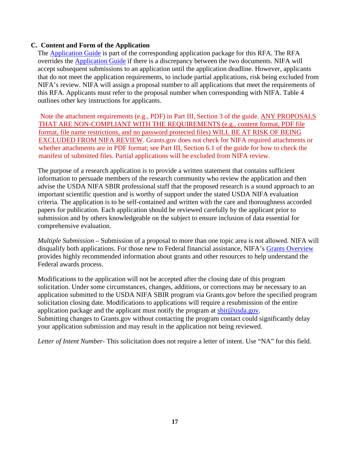#### <span id="page-16-0"></span>**C. Content and Form of the Application**

The [Application](https://apply07.grants.gov/apply/opportunities/instructions/PKG00249520-instructions.pdf) Guide is part of the corresponding application package for this RFA. The RFA overrides the [Application](https://apply07.grants.gov/apply/opportunities/instructions/PKG00249520-instructions.pdf) Guide if there is a discrepancy between the two documents. NIFA will accept subsequent submissions to an application until the application deadline. However, applicants that do not meet the application requirements, to include partial applications, risk being excluded from NIFA's review. NIFA will assign a proposal number to all applications that meet the requirements of this RFA. Applicants must refer to the proposal number when corresponding with NIFA. Table 4 outlines other key instructions for applicants.

Note the attachment requirements (e.g., PDF) in Part III, Section 3 of the guide. ANY PROPOSALS THAT ARE NON-COMPLIANT WITH THE REQUIREMENTS (e.g., content format, PDF file format, file name restrictions, and no password protected files) WILL BE AT RISK OF BEING EXCLUDED FROM NIFA REVIEW. Grants.gov does not check for NIFA required attachments or whether attachments are in PDF format; see Part III, Section 6.1 of the guide for how to check the manifest of submitted files. Partial applications will be excluded from NIFA review.

The purpose of a research application is to provide a written statement that contains sufficient information to persuade members of the research community who review the application and then advise the USDA NIFA SBIR professional staff that the proposed research is a sound approach to an important scientific question and is worthy of support under the stated USDA NIFA evaluation criteria. The application is to be self-contained and written with the care and thoroughness accorded papers for publication. Each application should be reviewed carefully by the applicant prior to submission and by others knowledgeable on the subject to ensure inclusion of data essential for comprehensive evaluation.

*Multiple Submission* – Submission of a proposal to more than one topic area is not allowed. NIFA will disqualify both applications. For those new to Federal financial assistance, NIFA's Grants [Overview](https://nifa.usda.gov/resource/grants-overview) provides highly recommended information about grants and other resources to help understand the Federal awards process.

Modifications to the application will not be accepted after the closing date of this program solicitation. Under some circumstances, changes, additions, or corrections may be necessary to an application submitted to the USDA NIFA SBIR program via Grants.gov before the specified program solicitation closing date. Modifications to applications will require a resubmission of the entire application package and the applicant must notify the program at [sbir@usda.gov.](mailto:sbir@usda.gov) Submitting changes to Grants.gov without contacting the program contact could significantly delay your application submission and may result in the application not being reviewed.

*Letter of Intent Number*- This solicitation does not require a letter of intent. Use "NA" for this field.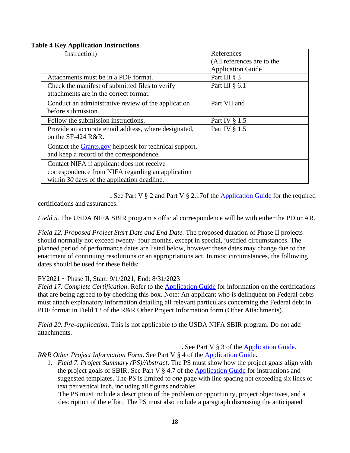#### <span id="page-17-0"></span>**Table 4 Key Application Instructions**

| Instruction)                                                                                                                                     | References<br>(All references are to the |
|--------------------------------------------------------------------------------------------------------------------------------------------------|------------------------------------------|
|                                                                                                                                                  | <b>Application Guide</b>                 |
| Attachments must be in a PDF format.                                                                                                             | Part III § 3                             |
| Check the manifest of submitted files to verify                                                                                                  | Part III $§$ 6.1                         |
| attachments are in the correct format.                                                                                                           |                                          |
| Conduct an administrative review of the application<br>before submission.                                                                        | Part VII and                             |
| Follow the submission instructions.                                                                                                              | Part IV § 1.5                            |
| Provide an accurate email address, where designated,<br>on the SF-424 R&R.                                                                       | Part IV § 1.5                            |
| Contact the <b>Grants.gov</b> helpdesk for technical support,<br>and keep a record of the correspondence.                                        |                                          |
| Contact NIFA if applicant does not receive<br>correspondence from NIFA regarding an application<br>within $30$ days of the application deadline. |                                          |

**.** See Part V § 2 and Part V § 2.17of the [Application](https://apply07.grants.gov/apply/opportunities/instructions/PKG00249520-instructions.pdf) Guide for the required certifications and assurances.

*Field 5*. The USDA NIFA SBIR program's official correspondence will be with either the PD or AR.

*Field 12. Proposed Project Start Date and End Date.* The proposed duration of Phase II projects should normally not exceed twenty- four months, except in special, justified circumstances. The planned period of performance dates are listed below, however these dates may change due to the enactment of continuing resolutions or an appropriations act. In most circumstances, the following dates should be used for these fields:

# FY2021 ~ Phase II, Start: 9/1/2021, End: 8/31/2023

*Field 17. Complete Certification*. Refer to the [Application](https://apply07.grants.gov/apply/opportunities/instructions/PKG00249520-instructions.pdf) Guide for information on the certifications that are being agreed to by checking this box. Note: An applicant who is delinquent on Federal debts must attach explanatory information detailing all relevant particulars concerning the Federal debt in PDF format in Field 12 of the R&R Other Project Information form (Other Attachments).

*Field 20. Pre-application*. This is not applicable to the USDA NIFA SBIR program. Do not add attachments.

**.** See Part V § 3 of the [Application](https://apply07.grants.gov/apply/opportunities/instructions/PKG00249520-instructions.pdf) Guide.

*R&R Other Project Information Form*. See Part V § 4 of the [Application](https://apply07.grants.gov/apply/opportunities/instructions/PKG00249520-instructions.pdf) Guide.

1. *Field 7. Project Summary (PS)/Abstract*. The PS must show how the project goals align with the project goals of SBIR. See Part V § 4.7 of the [Application](https://apply07.grants.gov/apply/opportunities/instructions/PKG00249520-instructions.pdf) Guide for instructions and suggested templates. The PS is limited to *one* page with line spacing not exceeding six lines of text per vertical inch, including all figures and tables.

The PS must include a description of the problem or opportunity, project objectives, and a description of the effort. The PS must also include a paragraph discussing the anticipated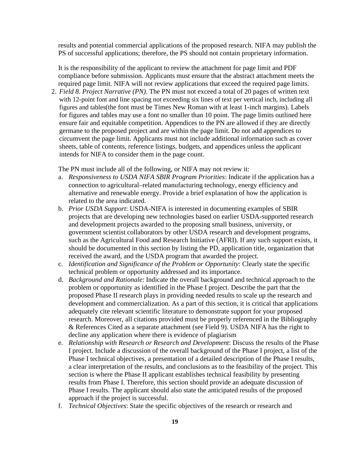results and potential commercial applications of the proposed research. NIFA may publish the PS of successful applications; therefore, the PS should not contain proprietary information.

It is the responsibility of the applicant to review the attachment for page limit and PDF compliance before submission. Applicants must ensure that the abstract attachment meets the required page limit. NIFA will not review applications that exceed the required page limits.

2. *Field 8. Project Narrative (PN)*. The PN must not exceed a total of 20 pages of written text with 12-point font and line spacing not exceeding six lines of text per vertical inch, including all figures and tables(the font must be Times New Roman with at least 1-inch margins). Labels for figures and tables may use a font no smaller than 10 point. The page limits outlined here ensure fair and equitable competition. Appendices to the PN are allowed if they are directly germane to the proposed project and are within the page limit. Do not add appendices to circumvent the page limit. Applicants must not include additional information such as cover sheets, table of contents, reference listings, budgets, and appendices unless the applicant intends for NIFA to consider them in the page count.

The PN must include all of the following, or NIFA may not review it:

- a. *Responsiveness to USDA NIFA SBIR Program Priorities*: Indicate if the application has a connection to agricultural–related manufacturing technology, energy efficiency and alternative and renewable energy. Provide a brief explanation of how the application is related to the area indicated.
- b. *Prior USDA Support*: USDA-NIFA is interested in documenting examples of SBIR projects that are developing new technologies based on earlier USDA-supported research and development projects awarded to the proposing small business, university, or government scientist collaborators by other USDA research and development programs, such as the Agricultural Food and Research Initiative (AFRI). If any such support exists, it should be documented in this section by listing the PD, application title, organization that received the award, and the USDA program that awarded the project.
- c. *Identification and Significance of the Problem or Opportunity*: Clearly state the specific technical problem or opportunity addressed and its importance.
- d. *Background and Rationale*: Indicate the overall background and technical approach to the problem or opportunity as identified in the Phase I project. Describe the part that the proposed Phase II research plays in providing needed results to scale up the research and development and commercialization. As a part of this section, it is critical that applications adequately cite relevant scientific literature to demonstrate support for your proposed research. Moreover, all citations provided must be properly referenced in the Bibliography & References Cited as a separate attachment (see Field 9). USDA NIFA has the right to decline any application where there is evidence of plagiarism
- e. *Relationship with Research or Research and Development*: Discuss the results of the Phase I project. Include a discussion of the overall background of the Phase I project, a list of the Phase I technical objectives, a presentation of a detailed description of the Phase I results, a clear interpretation of the results, and conclusions as to the feasibility of the project. This section is where the Phase II applicant establishes technical feasibility by presenting results from Phase I. Therefore, this section should provide an adequate discussion of Phase I results. The applicant should also state the anticipated results of the proposed approach if the project is successful.
- f. *Technical Objectives*: State the specific objectives of the research or research and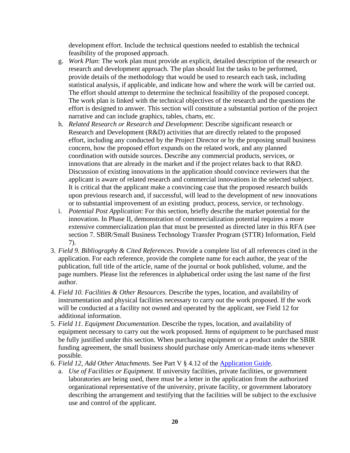development effort. Include the technical questions needed to establish the technical feasibility of the proposed approach.

- g. *Work Plan*: The work plan must provide an explicit, detailed description of the research or research and development approach. The plan should list the tasks to be performed, provide details of the methodology that would be used to research each task, including statistical analysis, if applicable, and indicate how and where the work will be carried out. The effort should attempt to determine the technical feasibility of the proposed concept. The work plan is linked with the technical objectives of the research and the questions the effort is designed to answer. This section will constitute a substantial portion of the project narrative and can include graphics, tables, charts, etc.
- h. *Related Research or Research and Development*: Describe significant research or Research and Development (R&D) activities that are directly related to the proposed effort, including any conducted by the Project Director or by the proposing small business concern, how the proposed effort expands on the related work, and any planned coordination with outside sources. Describe any commercial products, services, or innovations that are already in the market and if the project relates back to that R&D. Discussion of existing innovations in the application should convince reviewers that the applicant is aware of related research and commercial innovations in the selected subject. It is critical that the applicant make a convincing case that the proposed research builds upon previous research and, if successful, will lead to the development of new innovations or to substantial improvement of an existing product, process, service, or technology.
- i. *Potential Post Application*: For this section, briefly describe the market potential for the innovation. In Phase II, demonstration of commercialization potential requires a more extensive commercialization plan that must be presented as directed later in this RFA (see section 7. SBIR/Small Business Technology Transfer Program (STTR) Information, Field 7).
- 3. *Field 9. Bibliography & Cited References*. Provide a complete list of all references cited in the application. For each reference, provide the complete name for each author, the year of the publication, full title of the article, name of the journal or book published, volume, and the page numbers. Please list the references in alphabetical order using the last name of the first author.
- 4. *Field 10. Facilities & Other Resources*. Describe the types, location, and availability of instrumentation and physical facilities necessary to carry out the work proposed. If the work will be conducted at a facility not owned and operated by the applicant, see Field 12 for additional information.
- 5. *Field 11. Equipment Documentation*. Describe the types, location, and availability of equipment necessary to carry out the work proposed. Items of equipment to be purchased must be fully justified under this section. When purchasing equipment or a product under the SBIR funding agreement, the small business should purchase only American-made items whenever possible.
- 6. *Field 12, Add Other Attachments*. See Part V § 4.12 of the [Application](https://apply07.grants.gov/apply/opportunities/instructions/PKG00249520-instructions.pdf) Guide.
	- a. *Use of Facilities or Equipment.* If university facilities, private facilities, or government laboratories are being used, there must be a letter in the application from the authorized organizational representative of the university, private facility, or government laboratory describing the arrangement and testifying that the facilities will be subject to the exclusive use and control of the applicant.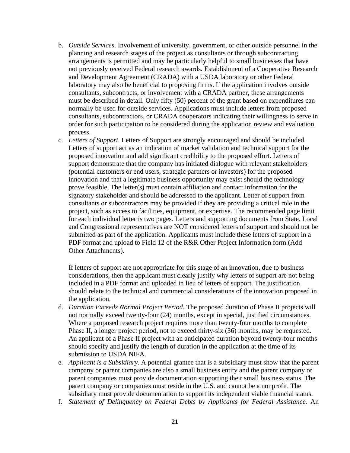- b. *Outside Services*. Involvement of university, government, or other outside personnel in the planning and research stages of the project as consultants or through subcontracting arrangements is permitted and may be particularly helpful to small businesses that have not previously received Federal research awards. Establishment of a Cooperative Research and Development Agreement (CRADA) with a USDA laboratory or other Federal laboratory may also be beneficial to proposing firms. If the application involves outside consultants, subcontracts, or involvement with a CRADA partner, these arrangements must be described in detail. Only fifty (50) percent of the grant based on expenditures can normally be used for outside services. Applications must include letters from proposed consultants, subcontractors, or CRADA cooperators indicating their willingness to serve in order for such participation to be considered during the application review and evaluation process.
- c. *Letters of Support.* Letters of Support are strongly encouraged and should be included. Letters of support act as an indication of market validation and technical support for the proposed innovation and add significant credibility to the proposed effort. Letters of support demonstrate that the company has initiated dialogue with relevant stakeholders (potential customers or end users, strategic partners or investors) for the proposed innovation and that a legitimate business opportunity may exist should the technology prove feasible. The letter(s) must contain affiliation and contact information for the signatory stakeholder and should be addressed to the applicant. Letter of support from consultants or subcontractors may be provided if they are providing a critical role in the project, such as access to facilities, equipment, or expertise. The recommended page limit for each individual letter is two pages. Letters and supporting documents from State, Local and Congressional representatives are NOT considered letters of support and should not be submitted as part of the application. Applicants must include these letters of support in a PDF format and upload to Field 12 of the R&R Other Project Information form (Add Other Attachments).

If letters of support are not appropriate for this stage of an innovation, due to business considerations, then the applicant must clearly justify why letters of support are not being included in a PDF format and uploaded in lieu of letters of support. The justification should relate to the technical and commercial considerations of the innovation proposed in the application.

- d. *Duration Exceeds Normal Project Period.* The proposed duration of Phase II projects will not normally exceed twenty-four (24) months, except in special, justified circumstances. Where a proposed research project requires more than twenty-four months to complete Phase II, a longer project period, not to exceed thirty-six (36) months, may be requested. An applicant of a Phase II project with an anticipated duration beyond twenty-four months should specify and justify the length of duration in the application at the time of its submission to USDA NIFA.
- e. *Applicant is a Subsidiary.* A potential grantee that is a subsidiary must show that the parent company or parent companies are also a small business entity and the parent company or parent companies must provide documentation supporting their small business status. The parent company or companies must reside in the U.S. and cannot be a nonprofit. The subsidiary must provide documentation to support its independent viable financial status.
- f. *Statement of Delinquency on Federal Debts by Applicants for Federal Assistance.* An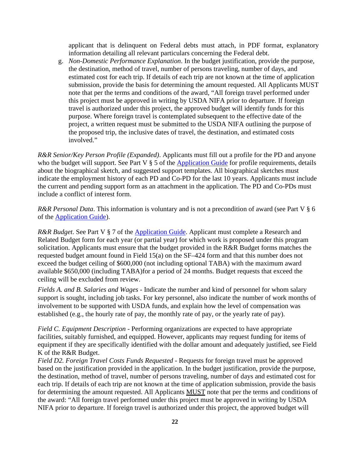applicant that is delinquent on Federal debts must attach, in PDF format, explanatory information detailing all relevant particulars concerning the Federal debt.

g. *Non-Domestic Performance Explanation*. In the budget justification, provide the purpose, the destination, method of travel, number of persons traveling, number of days, and estimated cost for each trip. If details of each trip are not known at the time of application submission, provide the basis for determining the amount requested. All Applicants MUST note that per the terms and conditions of the award, "All foreign travel performed under this project must be approved in writing by USDA NIFA prior to departure. If foreign travel is authorized under this project, the approved budget will identify funds for this purpose. Where foreign travel is contemplated subsequent to the effective date of the project, a written request must be submitted to the USDA NIFA outlining the purpose of the proposed trip, the inclusive dates of travel, the destination, and estimated costs involved."

*R&R Senior/Key Person Profile (Expanded)*. Applicants must fill out a profile for the PD and anyone who the budget will support. See Part V § 5 of the [Application](https://apply07.grants.gov/apply/opportunities/instructions/PKG00249520-instructions.pdf) Guide for profile requirements, details about the biographical sketch, and suggested support templates. All biographical sketches must indicate the employment history of each PD and Co-PD for the last 10 years. Applicants must include the current and pending support form as an attachment in the application. The PD and Co-PDs must include a conflict of interest form.

*R&R Personal Data*. This information is voluntary and is not a precondition of award (see Part V § 6 of the [Application](https://apply07.grants.gov/apply/opportunities/instructions/PKG00249520-instructions.pdf) Guide).

*R&R Budget*. See Part V § 7 of the **[Application](https://apply07.grants.gov/apply/opportunities/instructions/PKG00249520-instructions.pdf) Guide**. Applicant must complete a Research and Related Budget form for each year (or partial year) for which work is proposed under this program solicitation. Applicants must ensure that the budget provided in the R&R Budget forms matches the requested budget amount found in Field 15(a) on the SF–424 form and that this number does not exceed the budget ceiling of \$600,000 (not including optional TABA) with the maximum award available \$650,000 (including TABA)for a period of 24 months. Budget requests that exceed the ceiling will be excluded from review.

*Fields A. and B. Salaries and Wages* - Indicate the number and kind of personnel for whom salary support is sought, including job tasks. For key personnel, also indicate the number of work months of involvement to be supported with USDA funds, and explain how the level of compensation was established (e.g., the hourly rate of pay, the monthly rate of pay, or the yearly rate of pay).

*Field C. Equipment Description* - Performing organizations are expected to have appropriate facilities, suitably furnished, and equipped. However, applicants may request funding for items of equipment if they are specifically identified with the dollar amount and adequately justified, see Field K of the R&R Budget.

*Field D2. Foreign Travel Costs Funds Requested* - Requests for foreign travel must be approved based on the justification provided in the application. In the budget justification, provide the purpose, the destination, method of travel, number of persons traveling, number of days and estimated cost for each trip. If details of each trip are not known at the time of application submission, provide the basis for determining the amount requested. All Applicants MUST note that per the terms and conditions of the award: "All foreign travel performed under this project must be approved in writing by USDA NIFA prior to departure. If foreign travel is authorized under this project, the approved budget will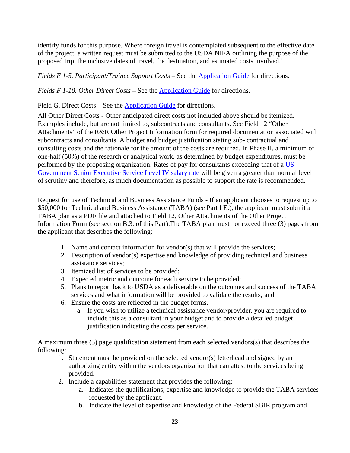identify funds for this purpose. Where foreign travel is contemplated subsequent to the effective date of the project, a written request must be submitted to the USDA NIFA outlining the purpose of the proposed trip, the inclusive dates of travel, the destination, and estimated costs involved."

*Fields E 1-5. Participant/Trainee Support Costs* – See the [Application](https://apply07.grants.gov/apply/opportunities/instructions/PKG00249520-instructions.pdf) Guide for directions.

*Fields F 1-10. Other Direct Costs* – See the [Application](https://apply07.grants.gov/apply/opportunities/instructions/PKG00249520-instructions.pdf) Guide for directions.

Field G. Direct Costs – See the [Application](https://apply07.grants.gov/apply/opportunities/instructions/PKG00249520-instructions.pdf) Guide for directions.

All Other Direct Costs - Other anticipated direct costs not included above should be itemized. Examples include, but are not limited to, subcontracts and consultants. See Field 12 "Other Attachments" of the R&R Other Project Information form for required documentation associated with subcontracts and consultants. A budget and budget justification stating sub- contractual and consulting costs and the rationale for the amount of the costs are required. In Phase II, a minimum of one-half (50%) of the research or analytical work, as determined by budget expenditures, must be performed by the proposing organization. Rates of pay for consultants exceeding that of a [US](https://www.opm.gov/policy-data-oversight/pay-leave/salaries-wages/salary-tables/16Tables/exec/html/EX.aspx) [Government](https://www.opm.gov/policy-data-oversight/pay-leave/salaries-wages/salary-tables/16Tables/exec/html/EX.aspx) Senior Executive Service Level IV salary rate will be given a greater than normal level of scrutiny and therefore, as much documentation as possible to support the rate is recommended.

Request for use of Technical and Business Assistance Funds - If an applicant chooses to request up to \$50,000 for Technical and Business Assistance (TABA) (see Part I E.), the applicant must submit a TABA plan as a PDF file and attached to Field 12, Other Attachments of the Other Project Information Form (see section B.3. of this Part).The TABA plan must not exceed three (3) pages from the applicant that describes the following:

- 1. Name and contact information for vendor(s) that will provide the services;
- 2. Description of vendor(s) expertise and knowledge of providing technical and business assistance services;
- 3. Itemized list of services to be provided;
- 4. Expected metric and outcome for each service to be provided;
- 5. Plans to report back to USDA as a deliverable on the outcomes and success of the TABA services and what information will be provided to validate the results; and
- 6. Ensure the costs are reflected in the budget forms.
	- a. If you wish to utilize a technical assistance vendor/provider, you are required to include this as a consultant in your budget and to provide a detailed budget justification indicating the costs per service.

A maximum three (3) page qualification statement from each selected vendors(s) that describes the following:

- 1. Statement must be provided on the selected vendor(s) letterhead and signed by an authorizing entity within the vendors organization that can attest to the services being provided.
- 2. Include a capabilities statement that provides the following:
	- a. Indicates the qualifications, expertise and knowledge to provide the TABA services requested by the applicant.
	- b. Indicate the level of expertise and knowledge of the Federal SBIR program and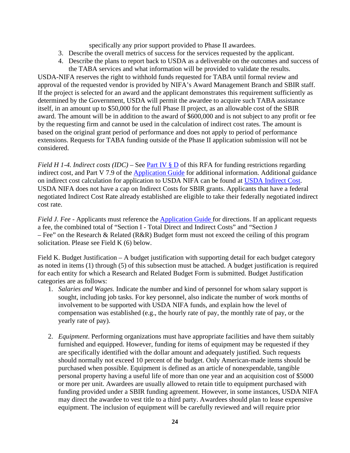specifically any prior support provided to Phase II awardees.

- 3. Describe the overall metrics of success for the services requested by the applicant.
- 4. Describe the plans to report back to USDA as a deliverable on the outcomes and success of the TABA services and what information will be provided to validate the results.

USDA-NIFA reserves the right to withhold funds requested for TABA until formal review and approval of the requested vendor is provided by NIFA's Award Management Branch and SBIR staff. If the project is selected for an award and the applicant demonstrates this requirement sufficiently as determined by the Government, USDA will permit the awardee to acquire such TABA assistance itself, in an amount up to \$50,000 for the full Phase II project, as an allowable cost of the SBIR award. The amount will be in addition to the award of \$600,000 and is not subject to any profit or fee by the requesting firm and cannot be used in the calculation of indirect cost rates. The amount is based on the original grant period of performance and does not apply to period of performance extensions. Requests for TABA funding outside of the Phase II application submission will not be considered.

*Field H 1-4. Indirect costs*  $(IDC)$  – See <u>Part IV § D</u> of this RFA for funding restrictions regarding indirect cost, and Part V 7.9 of the [Application Guide f](https://apply07.grants.gov/apply/opportunities/instructions/PKG00249520-instructions.pdf)or additional information. Additional guidance on indirect cost calculation for application to USDA NIFA can be found at [USDA Indirect Cost.](https://nifa.usda.gov/indirect-costs) USDA NIFA does not have a cap on Indirect Costs for SBIR grants. Applicants that have a federal negotiated Indirect Cost Rate already established are eligible to take their federally negotiated indirect cost rate.

*Field J. Fee* - Applicants must reference the [Application Guide f](https://apply07.grants.gov/apply/opportunities/instructions/PKG00249520-instructions.pdf)or directions. If an applicant requests a fee, the combined total of "Section I - Total Direct and Indirect Costs" and "Section J – Fee" on the Research & Related (R&R) Budget form must not exceed the ceiling of this program solicitation. Please see Field K (6) below.

Field K. Budget Justification – A budget justification with supporting detail for each budget category as noted in items (1) through (5) of this subsection must be attached. A budget justification is required for each entity for which a Research and Related Budget Form is submitted. Budget Justification categories are as follows:

- 1. *Salaries and Wages.* Indicate the number and kind of personnel for whom salary support is sought, including job tasks. For key personnel, also indicate the number of work months of involvement to be supported with USDA NIFA funds, and explain how the level of compensation was established (e.g., the hourly rate of pay, the monthly rate of pay, or the yearly rate of pay).
- 2. *Equipment*. Performing organizations must have appropriate facilities and have them suitably furnished and equipped. However, funding for items of equipment may be requested if they are specifically identified with the dollar amount and adequately justified. Such requests should normally not exceed 10 percent of the budget. Only American-made items should be purchased when possible. Equipment is defined as an article of nonexpendable, tangible personal property having a useful life of more than one year and an acquisition cost of \$5000 or more per unit. Awardees are usually allowed to retain title to equipment purchased with funding provided under a SBIR funding agreement. However, in some instances, USDA NIFA may direct the awardee to vest title to a third party. Awardees should plan to lease expensive equipment. The inclusion of equipment will be carefully reviewed and will require prior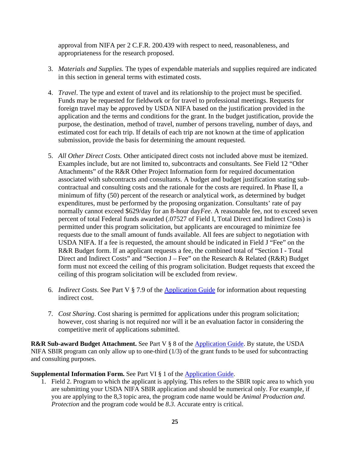approval from NIFA per 2 C.F.R. 200.439 with respect to need, reasonableness, and appropriateness for the research proposed.

- 3. *Materials and Supplies.* The types of expendable materials and supplies required are indicated in this section in general terms with estimated costs.
- 4. *Travel*. The type and extent of travel and its relationship to the project must be specified. Funds may be requested for fieldwork or for travel to professional meetings. Requests for foreign travel may be approved by USDA NIFA based on the justification provided in the application and the terms and conditions for the grant. In the budget justification, provide the purpose, the destination, method of travel, number of persons traveling, number of days, and estimated cost for each trip. If details of each trip are not known at the time of application submission, provide the basis for determining the amount requested.
- 5. *All Other Direct Costs.* Other anticipated direct costs not included above must be itemized. Examples include, but are not limited to, subcontracts and consultants. See Field 12 "Other Attachments" of the R&R Other Project Information form for required documentation associated with subcontracts and consultants. A budget and budget justification stating subcontractual and consulting costs and the rationale for the costs are required. In Phase II, a minimum of fifty (50) percent of the research or analytical work, as determined by budget expenditures, must be performed by the proposing organization. Consultants' rate of pay normally cannot exceed \$629/day for an 8-hour day*Fee*. A reasonable fee, not to exceed seven percent of total Federal funds awarded (.07527 of Field I, Total Direct and Indirect Costs) is permitted under this program solicitation, but applicants are encouraged to minimize fee requests due to the small amount of funds available. All fees are subject to negotiation with USDA NIFA. If a fee is requested, the amount should be indicated in Field J "Fee" on the R&R Budget form. If an applicant requests a fee, the combined total of "Section I - Total Direct and Indirect Costs" and "Section J – Fee" on the Research & Related (R&R) Budget form must not exceed the ceiling of this program solicitation. Budget requests that exceed the ceiling of this program solicitation will be excluded from review.
- 6. *Indirect Costs*. See Part V § 7.9 of the [Application](https://apply07.grants.gov/apply/opportunities/instructions/PKG00249520-instructions.pdf) Guide for information about requesting indirect cost.
- 7. *Cost Sharing*. Cost sharing is permitted for applications under this program solicitation; however, cost sharing is not required nor will it be an evaluation factor in considering the competitive merit of applications submitted.

**R&R Sub-award Budget Attachment.** See Part V § 8 of the [Application](https://apply07.grants.gov/apply/opportunities/instructions/PKG00249520-instructions.pdf) Guide. By statute, the USDA NIFA SBIR program can only allow up to one-third (1/3) of the grant funds to be used for subcontracting and consulting purposes.

**Supplemental Information Form.** See Part VI § 1 of the [Application](https://apply07.grants.gov/apply/opportunities/instructions/PKG00249520-instructions.pdf) Guide.

1. Field 2. Program to which the applicant is applying. This refers to the SBIR topic area to which you are submitting your USDA NIFA SBIR application and should be numerical only. For example, if you are applying to the 8,3 topic area, the program code name would be *Animal Production and. Protection* and the program code would be 8.3. Accurate entry is critical.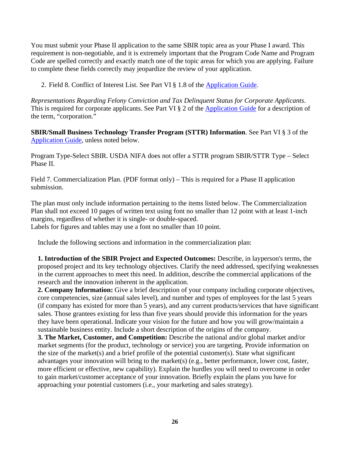You must submit your Phase II application to the same SBIR topic area as your Phase I award. This requirement is non-negotiable, and it is extremely important that the Program Code Name and Program Code are spelled correctly and exactly match one of the topic areas for which you are applying. Failure to complete these fields correctly may jeopardize the review of your application.

2. Field 8. Conflict of Interest List. See Part VI § 1.8 of the [Application](https://apply07.grants.gov/apply/opportunities/instructions/PKG00249520-instructions.pdf) Guide.

*Representations Regarding Felony Conviction and Tax Delinquent Status for Corporate Applicants*. This is required for corporate applicants. See Part VI § 2 of the [Application](https://apply07.grants.gov/apply/opportunities/instructions/PKG00249520-instructions.pdf) Guide for a description of the term, "corporation."

**SBIR/Small Business Technology Transfer Program (STTR) Information**. See Part VI § 3 of the [Application](https://apply07.grants.gov/apply/opportunities/instructions/PKG00249520-instructions.pdf) Guide, unless noted below.

Program Type-Select SBIR. USDA NIFA does not offer a STTR program SBIR/STTR Type – Select Phase II.

Field 7. Commercialization Plan. (PDF format only) – This is required for a Phase II application submission.

The plan must only include information pertaining to the items listed below. The Commercialization Plan shall not exceed 10 pages of written text using font no smaller than 12 point with at least 1-inch margins, regardless of whether it is single- or double-spaced.

Labels for figures and tables may use a font no smaller than 10 point.

Include the following sections and information in the commercialization plan:

**1. Introduction of the SBIR Project and Expected Outcomes:** Describe, in layperson's terms, the proposed project and its key technology objectives. Clarify the need addressed, specifying weaknesses in the current approaches to meet this need. In addition, describe the commercial applications of the research and the innovation inherent in the application.

**2. Company Information:** Give a brief description of your company including corporate objectives, core competencies, size (annual sales level), and number and types of employees for the last 5 years (if company has existed for more than 5 years), and any current products/services that have significant sales. Those grantees existing for less than five years should provide this information for the years they have been operational. Indicate your vision for the future and how you will grow/maintain a sustainable business entity. Include a short description of the origins of the company.

**3. The Market, Customer, and Competition:** Describe the national and/or global market and/or market segments (for the product, technology or service) you are targeting. Provide information on the size of the market(s) and a brief profile of the potential customer(s). State what significant advantages your innovation will bring to the market(s) (e.g., better performance, lower cost, faster, more efficient or effective, new capability). Explain the hurdles you will need to overcome in order to gain market/customer acceptance of your innovation. Briefly explain the plans you have for approaching your potential customers (i.e., your marketing and sales strategy).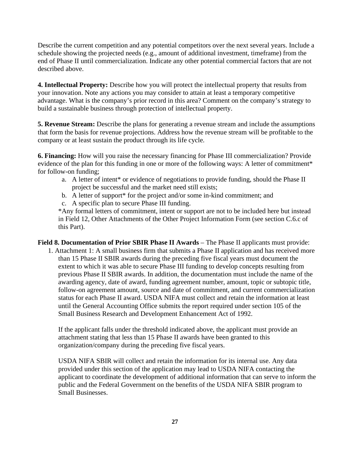Describe the current competition and any potential competitors over the next several years. Include a schedule showing the projected needs (e.g., amount of additional investment, timeframe) from the end of Phase II until commercialization. Indicate any other potential commercial factors that are not described above.

**4. Intellectual Property:** Describe how you will protect the intellectual property that results from your innovation. Note any actions you may consider to attain at least a temporary competitive advantage. What is the company's prior record in this area? Comment on the company's strategy to build a sustainable business through protection of intellectual property.

**5. Revenue Stream:** Describe the plans for generating a revenue stream and include the assumptions that form the basis for revenue projections. Address how the revenue stream will be profitable to the company or at least sustain the product through its life cycle.

**6. Financing:** How will you raise the necessary financing for Phase III commercialization? Provide evidence of the plan for this funding in one or more of the following ways: A letter of commitment<sup>\*</sup> for follow-on funding;

- a. A letter of intent\* or evidence of negotiations to provide funding, should the Phase II project be successful and the market need still exists;
- b. A letter of support\* for the project and/or some in-kind commitment; and
- c. A specific plan to secure Phase III funding.

\*Any formal letters of commitment, intent or support are not to be included here but instead in Field 12, Other Attachments of the Other Project Information Form (see section C.6.c of this Part).

**Field 8. Documentation of Prior SBIR Phase II Awards** – The Phase II applicants must provide: 1. Attachment 1: A small business firm that submits a Phase II application and has received more than 15 Phase II SBIR awards during the preceding five fiscal years must document the extent to which it was able to secure Phase III funding to develop concepts resulting from previous Phase II SBIR awards. In addition, the documentation must include the name of the awarding agency, date of award, funding agreement number, amount, topic or subtopic title, follow-on agreement amount, source and date of commitment, and current commercialization status for each Phase II award. USDA NIFA must collect and retain the information at least until the General Accounting Office submits the report required under section 105 of the Small Business Research and Development Enhancement Act of 1992.

If the applicant falls under the threshold indicated above, the applicant must provide an attachment stating that less than 15 Phase II awards have been granted to this organization/company during the preceding five fiscal years.

USDA NIFA SBIR will collect and retain the information for its internal use. Any data provided under this section of the application may lead to USDA NIFA contacting the applicant to coordinate the development of additional information that can serve to inform the public and the Federal Government on the benefits of the USDA NIFA SBIR program to Small Businesses.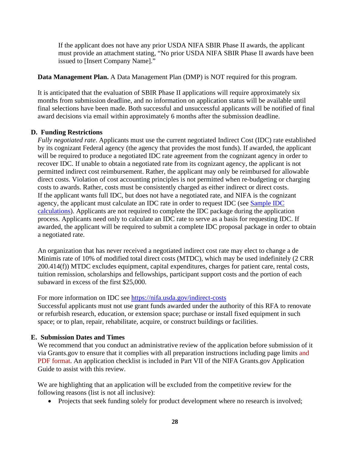If the applicant does not have any prior USDA NIFA SBIR Phase II awards, the applicant must provide an attachment stating, "No prior USDA NIFA SBIR Phase II awards have been issued to [Insert Company Name]."

## **Data Management Plan.** A Data Management Plan (DMP) is NOT required for this program.

It is anticipated that the evaluation of SBIR Phase II applications will require approximately six months from submission deadline, and no information on application status will be available until final selections have been made. Both successful and unsuccessful applicants will be notified of final award decisions via email within approximately 6 months after the submission deadline.

## <span id="page-27-0"></span>**D. Funding Restrictions**

*Fully negotiated rate*. Applicants must use the current negotiated Indirect Cost (IDC) rate established by its cognizant Federal agency (the agency that provides the most funds). If awarded, the applicant will be required to produce a negotiated IDC rate agreement from the cognizant agency in order to recover IDC. If unable to obtain a negotiated rate from its cognizant agency, the applicant is not permitted indirect cost reimbursement. Rather, the applicant may only be reimbursed for allowable direct costs. Violation of cost accounting principles is not permitted when re-budgeting or charging costs to awards. Rather, costs must be consistently charged as either indirect or direct costs. If the applicant wants full IDC, but does not have a negotiated rate, and NIFA is the cognizant agency, the applicant must calculate an IDC rate in order to request IDC (see [Sample](https://nifa.usda.gov/indirect-costs) IDC [calculations\)](https://nifa.usda.gov/indirect-costs). Applicants are not required to complete the IDC package during the application process. Applicants need only to calculate an IDC rate to serve as a basis for requesting IDC. If awarded, the applicant will be required to submit a complete IDC proposal package in order to obtain a negotiated rate.

An organization that has never received a negotiated indirect cost rate may elect to change a de Minimis rate of 10% of modified total direct costs (MTDC), which may be used indefinitely (2 CRR 200.414(f)) MTDC excludes equipment, capital expenditures, charges for patient care, rental costs, tuition remission, scholarships and fellowships, participant support costs and the portion of each subaward in excess of the first \$25,000.

For more information on IDC see <https://nifa.usda.gov/indirect-costs>

Successful applicants must not use grant funds awarded under the authority of this RFA to renovate or refurbish research, education, or extension space; purchase or install fixed equipment in such space; or to plan, repair, rehabilitate, acquire, or construct buildings or facilities.

#### <span id="page-27-1"></span>**E. Submission Dates and Times**

We recommend that you conduct an administrative review of the application before submission of it via Grants.gov to ensure that it complies with all preparation instructions including page limits and PDF format. An application checklist is included in Part VII of the NIFA Grants.gov Application Guide to assist with this review.

We are highlighting that an application will be excluded from the competitive review for the following reasons (list is not all inclusive):

• Projects that seek funding solely for product development where no research is involved;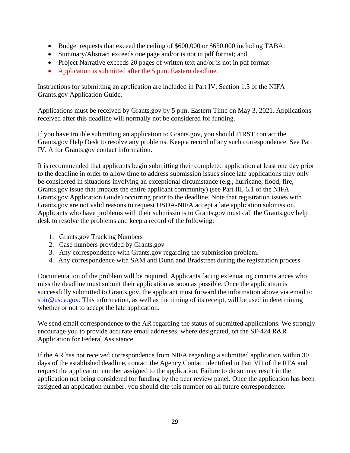- Budget requests that exceed the ceiling of \$600,000 or \$650,000 including TABA;
- Summary/Abstract exceeds one page and/or is not in pdf format; and
- Project Narrative exceeds 20 pages of written text and/or is not in pdf format
- Application is submitted after the 5 p.m. Eastern deadline.

Instructions for submitting an application are included in Part IV, Section 1.5 of the NIFA Grants.gov Application Guide.

Applications must be received by Grants.gov by 5 p.m. Eastern Time on May 3, 2021. Applications received after this deadline will normally not be considered for funding.

If you have trouble submitting an application to Grants.gov, you should FIRST contact the Grants.gov Help Desk to resolve any problems. Keep a record of any such correspondence. See Part IV. A for Grants.gov contact information.

It is recommended that applicants begin submitting their completed application at least one day prior to the deadline in order to allow time to address submission issues since late applications may only be considered in situations involving an exceptional circumstance (e.g., hurricane, flood, fire, Grants.gov issue that impacts the entire applicant community) (see Part III, 6.1 of the NIFA Grants.gov Application Guide) occurring prior to the deadline. Note that registration issues with Grants.gov are not valid reasons to request USDA-NIFA accept a late application submission. Applicants who have problems with their submissions to Grants.gov must call the Grants.gov help desk to resolve the problems and keep a record of the following:

- 1. Grants.gov Tracking Numbers
- 2. Case numbers provided by Grants.gov
- 3. Any correspondence with Grants.gov regarding the submission problem.
- 4. Any correspondence with SAM and Dunn and Bradstreet during the registration process

Documentation of the problem will be required. Applicants facing extenuating circumstances who miss the deadline must submit their application as soon as possible. Once the application is successfully submitted to Grants.gov, the applicant must forward the information above via email to [sbir@usda.gov.](mailto:sbir@usda.gov) This information, as well as the timing of its receipt, will be used in determining whether or not to accept the late application.

We send email correspondence to the AR regarding the status of submitted applications. We strongly encourage you to provide accurate email addresses, where designated, on the SF-424 R&R Application for Federal Assistance.

If the AR has not received correspondence from NIFA regarding a submitted application within 30 days of the established deadline, contact the Agency Contact identified in Part VII of the RFA and request the application number assigned to the application. Failure to do so may result in the application not being considered for funding by the peer review panel. Once the application has been assigned an application number, you should cite this number on all future correspondence.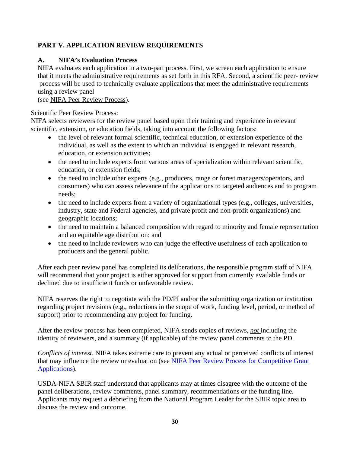# <span id="page-29-0"></span>**PART V. APPLICATION REVIEW REQUIREMENTS**

# <span id="page-29-1"></span>**A. NIFA's Evaluation Process**

NIFA evaluates each application in a two-part process. First, we screen each application to ensure that it meets the administrative requirements as set forth in this RFA. Second, a scientific peer- review process will be used to technically evaluate applications that meet the administrative requirements using a review panel

(see NIFA Peer Review [Process\)](https://nifa.usda.gov/sites/default/files/resource/NIFA-Peer-Review-Process-for-Competitive-Grant-Applications_0.pdf).

## Scientific Peer Review Process:

NIFA selects reviewers for the review panel based upon their training and experience in relevant scientific, extension, or education fields, taking into account the following factors:

- the level of relevant formal scientific, technical education, or extension experience of the individual, as well as the extent to which an individual is engaged in relevant research, education, or extension activities;
- the need to include experts from various areas of specialization within relevant scientific, education, or extension fields;
- the need to include other experts (e.g., producers, range or forest managers/operators, and consumers) who can assess relevance of the applications to targeted audiences and to program needs;
- the need to include experts from a variety of organizational types (e.g., colleges, universities, industry, state and Federal agencies, and private profit and non-profit organizations) and geographic locations;
- the need to maintain a balanced composition with regard to minority and female representation and an equitable age distribution; and
- the need to include reviewers who can judge the effective usefulness of each application to producers and the general public.

After each peer review panel has completed its deliberations, the responsible program staff of NIFA will recommend that your project is either approved for support from currently available funds or declined due to insufficient funds or unfavorable review.

NIFA reserves the right to negotiate with the PD/PI and/or the submitting organization or institution regarding project revisions (e.g., reductions in the scope of work, funding level, period, or method of support) prior to recommending any project for funding.

After the review process has been completed, NIFA sends copies of reviews, *not* including the identity of reviewers, and a summary (if applicable) of the review panel comments to the PD.

*Conflicts of interest*. NIFA takes extreme care to prevent any actual or perceived conflicts of interest that may influence the review or evaluation (see NIFA Peer [Review](https://nifa.usda.gov/resource/nifa-peer-review-process-competitive-grant-applications) Process for [Competitive](https://nifa.usda.gov/resource/nifa-peer-review-process-competitive-grant-applications) Grant [Applications\)](https://nifa.usda.gov/resource/nifa-peer-review-process-competitive-grant-applications).

USDA-NIFA SBIR staff understand that applicants may at times disagree with the outcome of the panel deliberations, review comments, panel summary, recommendations or the funding line. Applicants may request a debriefing from the National Program Leader for the SBIR topic area to discuss the review and outcome.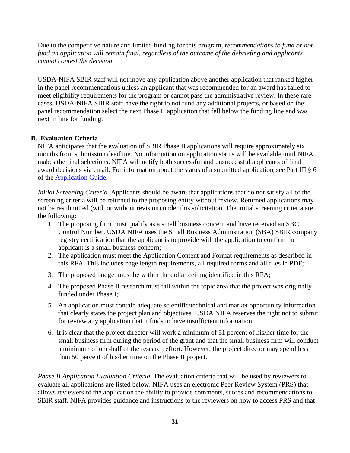Due to the competitive nature and limited funding for this program, *recommendations to fund or not fund an application will remain final, regardless of the outcome of the debriefing and applicants cannot contest the decision.*

USDA-NIFA SBIR staff will not move any application above another application that ranked higher in the panel recommendations unless an applicant that was recommended for an award has failed to meet eligibility requirements for the program or cannot pass the administrative review. In these rare cases, USDA-NIFA SBIR staff have the right to not fund any additional projects, or based on the panel recommendation select the next Phase II application that fell below the funding line and was next in line for funding.

# <span id="page-30-0"></span>**B. Evaluation Criteria**

NIFA anticipates that the evaluation of SBIR Phase II applications will require approximately six months from submission deadline. No information on application status will be available until NIFA makes the final selections. NIFA will notify both successful and unsuccessful applicants of final award decisions via email. For information about the status of a submitted application, see Part III § 6 of the [Application](https://apply07.grants.gov/apply/opportunities/instructions/PKG00249520-instructions.pdf) Guide.

*Initial Screening Criteria*. Applicants should be aware that applications that do not satisfy all of the screening criteria will be returned to the proposing entity without review. Returned applications may not be resubmitted (with or without revision) under this solicitation. The initial screening criteria are the following:

- 1. The proposing firm must qualify as a small business concern and have received an SBC Control Number. USDA NIFA uses the Small Business Administration (SBA) SBIR company registry certification that the applicant is to provide with the application to confirm the applicant is a small business concern;
- 2. The application must meet the Application Content and Format requirements as described in this RFA. This includes page length requirements, all required forms and all files in PDF;
- 3. The proposed budget must be within the dollar ceiling identified in this RFA;
- 4. The proposed Phase II research must fall within the topic area that the project was originally funded under Phase I;
- 5. An application must contain adequate scientific/technical and market opportunity information that clearly states the project plan and objectives. USDA NIFA reserves the right not to submit for review any application that it finds to have insufficient information;
- 6. It is clear that the project director will work a minimum of 51 percent of his/her time for the small business firm during the period of the grant and that the small business firm will conduct a minimum of one-half of the research effort. However, the project director may spend less than 50 percent of his/her time on the Phase II project.

*Phase II Application Evaluation Criteria.* The evaluation criteria that will be used by reviewers to evaluate all applications are listed below. NIFA uses an electronic Peer Review System (PRS) that allows reviewers of the application the ability to provide comments, scores and recommendations to SBIR staff. NIFA provides guidance and instructions to the reviewers on how to access PRS and that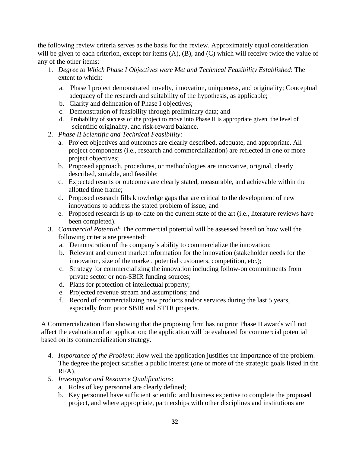the following review criteria serves as the basis for the review. Approximately equal consideration will be given to each criterion, except for items (A), (B), and (C) which will receive twice the value of any of the other items:

- 1. *Degree to Which Phase I Objectives were Met and Technical Feasibility Established*: The extent to which:
	- a. Phase I project demonstrated novelty, innovation, uniqueness, and originality; Conceptual adequacy of the research and suitability of the hypothesis, as applicable;
	- b. Clarity and delineation of Phase I objectives;
	- c. Demonstration of feasibility through preliminary data; and
	- d. Probability of success of the project to move into Phase II is appropriate given the level of scientific originality, and risk-reward balance.
- 2. *Phase II Scientific and Technical Feasibility*:
	- a. Project objectives and outcomes are clearly described, adequate, and appropriate. All project components (i.e., research and commercialization) are reflected in one or more project objectives;
	- b. Proposed approach, procedures, or methodologies are innovative, original, clearly described, suitable, and feasible;
	- c. Expected results or outcomes are clearly stated, measurable, and achievable within the allotted time frame;
	- d. Proposed research fills knowledge gaps that are critical to the development of new innovations to address the stated problem of issue; and
	- e. Proposed research is up-to-date on the current state of the art (i.e., literature reviews have been completed).
- 3. *Commercial Potential*: The commercial potential will be assessed based on how well the following criteria are presented:
	- a. Demonstration of the company's ability to commercialize the innovation;
	- b. Relevant and current market information for the innovation (stakeholder needs for the innovation, size of the market, potential customers, competition, etc.);
	- c. Strategy for commercializing the innovation including follow-on commitments from private sector or non-SBIR funding sources;
	- d. Plans for protection of intellectual property;
	- e. Projected revenue stream and assumptions; and
	- f. Record of commercializing new products and/or services during the last 5 years, especially from prior SBIR and STTR projects.

A Commercialization Plan showing that the proposing firm has no prior Phase II awards will not affect the evaluation of an application; the application will be evaluated for commercial potential based on its commercialization strategy.

- 4. *Importance of the Problem*: How well the application justifies the importance of the problem. The degree the project satisfies a public interest (one or more of the strategic goals listed in the RFA).
- 5. *Investigator and Resource Qualifications*:
	- a. Roles of key personnel are clearly defined;
	- b. Key personnel have sufficient scientific and business expertise to complete the proposed project, and where appropriate, partnerships with other disciplines and institutions are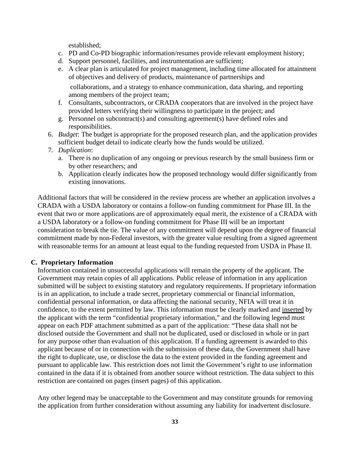established;

- c. PD and Co-PD biographic information/resumes provide relevant employment history;
- d. Support personnel, facilities, and instrumentation are sufficient;
- e. A clear plan is articulated for project management, including time allocated for attainment of objectives and delivery of products, maintenance of partnerships and

collaborations, and a strategy to enhance communication, data sharing, and reporting among members of the project team;

- f. Consultants, subcontractors, or CRADA cooperators that are involved in the project have provided letters verifying their willingness to participate in the project; and
- g. Personnel on subcontract(s) and consulting agreement(s) have defined roles and responsibilities.
- 6. *Budget*: The budget is appropriate for the proposed research plan, and the application provides sufficient budget detail to indicate clearly how the funds would be utilized.
- 7. *Duplication*:
	- a. There is no duplication of any ongoing or previous research by the small business firm or by other researchers; and
	- b. Application clearly indicates how the proposed technology would differ significantly from existing innovations.

Additional factors that will be considered in the review process are whether an application involves a CRADA with a USDA laboratory or contains a follow-on funding commitment for Phase III. In the event that two or more applications are of approximately equal merit, the existence of a CRADA with a USDA laboratory or a follow-on funding commitment for Phase III will be an important consideration to break the tie. The value of any commitment will depend upon the degree of financial commitment made by non-Federal investors, with the greater value resulting from a signed agreement with reasonable terms for an amount at least equal to the funding requested from USDA in Phase II.

#### <span id="page-32-0"></span>**C. Proprietary Information**

Information contained in unsuccessful applications will remain the property of the applicant. The Government may retain copies of all applications. Public release of information in any application submitted will be subject to existing statutory and regulatory requirements. If proprietary information is in an application, to include a trade secret, proprietary commercial or financial information, confidential personal information, or data affecting the national security, NFIA will treat it in confidence, to the extent permitted by law. This information must be clearly marked and inserted by the applicant with the term "confidential proprietary information," and the following legend must appear on each PDF attachment submitted as a part of the application: "These data shall not be disclosed outside the Government and shall not be duplicated, used or disclosed in whole or in part for any purpose other than evaluation of this application. If a funding agreement is awarded to this applicant because of or in connection with the submission of these data, the Government shall have the right to duplicate, use, or disclose the data to the extent provided in the funding agreement and pursuant to applicable law. This restriction does not limit the Government's right to use information contained in the data if it is obtained from another source without restriction. The data subject to this restriction are contained on pages (insert pages) of this application.

Any other legend may be unacceptable to the Government and may constitute grounds for removing the application from further consideration without assuming any liability for inadvertent disclosure.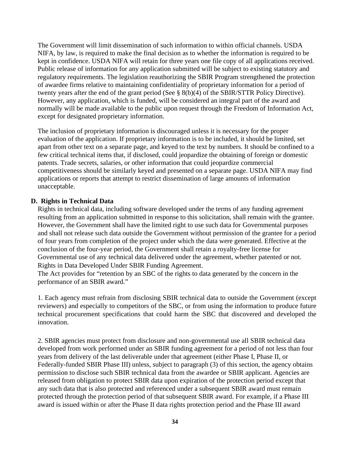The Government will limit dissemination of such information to within official channels. USDA NIFA, by law, is required to make the final decision as to whether the information is required to be kept in confidence. USDA NIFA will retain for three years one file copy of all applications received. Public release of information for any application submitted will be subject to existing statutory and regulatory requirements. The legislation reauthorizing the SBIR Program strengthened the protection of awardee firms relative to maintaining confidentiality of proprietary information for a period of twenty years after the end of the grant period (See § 8(b)(4) of the SBIR/STTR Policy Directive). However, any application, which is funded, will be considered an integral part of the award and normally will be made available to the public upon request through the Freedom of Information Act, except for designated proprietary information.

The inclusion of proprietary information is discouraged unless it is necessary for the proper evaluation of the application. If proprietary information is to be included, it should be limited, set apart from other text on a separate page, and keyed to the text by numbers. It should be confined to a few critical technical items that, if disclosed, could jeopardize the obtaining of foreign or domestic patents. Trade secrets, salaries, or other information that could jeopardize commercial competitiveness should be similarly keyed and presented on a separate page. USDA NIFA may find applications or reports that attempt to restrict dissemination of large amounts of information unacceptable.

## **D. Rights in Technical Data**

Rights in technical data, including software developed under the terms of any funding agreement resulting from an application submitted in response to this solicitation, shall remain with the grantee. However, the Government shall have the limited right to use such data for Governmental purposes and shall not release such data outside the Government without permission of the grantee for a period of four years from completion of the project under which the data were generated. Effective at the conclusion of the four-year period, the Government shall retain a royalty-free license for Governmental use of any technical data delivered under the agreement, whether patented or not. Rights in Data Developed Under SBIR Funding Agreement.

The Act provides for "retention by an SBC of the rights to data generated by the concern in the performance of an SBIR award."

1. Each agency must refrain from disclosing SBIR technical data to outside the Government (except reviewers) and especially to competitors of the SBC, or from using the information to produce future technical procurement specifications that could harm the SBC that discovered and developed the innovation.

2. SBIR agencies must protect from disclosure and non-governmental use all SBIR technical data developed from work performed under an SBIR funding agreement for a period of not less than four years from delivery of the last deliverable under that agreement (either Phase I, Phase II, or Federally-funded SBIR Phase III) unless, subject to paragraph (3) of this section, the agency obtains permission to disclose such SBIR technical data from the awardee or SBIR applicant. Agencies are released from obligation to protect SBIR data upon expiration of the protection period except that any such data that is also protected and referenced under a subsequent SBIR award must remain protected through the protection period of that subsequent SBIR award. For example, if a Phase III award is issued within or after the Phase II data rights protection period and the Phase III award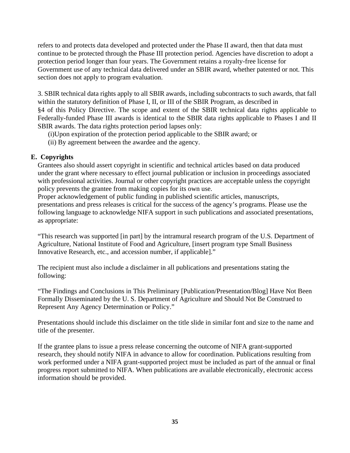refers to and protects data developed and protected under the Phase II award, then that data must continue to be protected through the Phase III protection period. Agencies have discretion to adopt a protection period longer than four years. The Government retains a royalty-free license for Government use of any technical data delivered under an SBIR award, whether patented or not. This section does not apply to program evaluation.

3. SBIR technical data rights apply to all SBIR awards, including subcontracts to such awards, that fall within the statutory definition of Phase I, II, or III of the SBIR Program, as described in §4 of this Policy Directive. The scope and extent of the SBIR technical data rights applicable to Federally-funded Phase III awards is identical to the SBIR data rights applicable to Phases I and II SBIR awards. The data rights protection period lapses only:

(i)Upon expiration of the protection period applicable to the SBIR award; or

(ii) By agreement between the awardee and the agency.

# **E. Copyrights**

Grantees also should assert copyright in scientific and technical articles based on data produced under the grant where necessary to effect journal publication or inclusion in proceedings associated with professional activities. Journal or other copyright practices are acceptable unless the copyright policy prevents the grantee from making copies for its own use.

Proper acknowledgement of public funding in published scientific articles, manuscripts, presentations and press releases is critical for the success of the agency's programs. Please use the following language to acknowledge NIFA support in such publications and associated presentations, as appropriate:

"This research was supported [in part] by the intramural research program of the U.S. Department of Agriculture, National Institute of Food and Agriculture, [insert program type Small Business Innovative Research, etc., and accession number, if applicable]."

The recipient must also include a disclaimer in all publications and presentations stating the following:

"The Findings and Conclusions in This Preliminary [Publication/Presentation/Blog] Have Not Been Formally Disseminated by the U. S. Department of Agriculture and Should Not Be Construed to Represent Any Agency Determination or Policy."

Presentations should include this disclaimer on the title slide in similar font and size to the name and title of the presenter.

If the grantee plans to issue a press release concerning the outcome of NIFA grant-supported research, they should notify NIFA in advance to allow for coordination. Publications resulting from work performed under a NIFA grant-supported project must be included as part of the annual or final progress report submitted to NIFA. When publications are available electronically, electronic access information should be provided.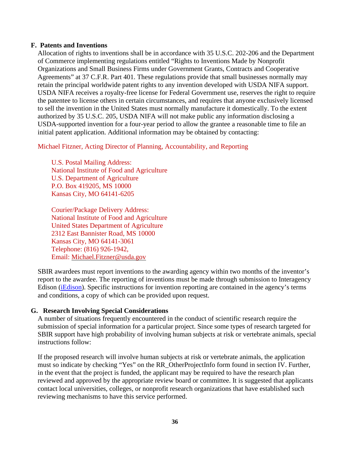#### **F. Patents and Inventions**

Allocation of rights to inventions shall be in accordance with 35 U.S.C. 202-206 and the Department of Commerce implementing regulations entitled "Rights to Inventions Made by Nonprofit Organizations and Small Business Firms under Government Grants, Contracts and Cooperative Agreements" at 37 C.F.R. Part 401. These regulations provide that small businesses normally may retain the principal worldwide patent rights to any invention developed with USDA NIFA support. USDA NIFA receives a royalty-free license for Federal Government use, reserves the right to require the patentee to license others in certain circumstances, and requires that anyone exclusively licensed to sell the invention in the United States must normally manufacture it domestically. To the extent authorized by 35 U.S.C. 205, USDA NIFA will not make public any information disclosing a USDA-supported invention for a four-year period to allow the grantee a reasonable time to file an initial patent application. Additional information may be obtained by contacting:

Michael Fitzner, Acting Director of Planning, Accountability, and Reporting

U.S. Postal Mailing Address: National Institute of Food and Agriculture U.S. Department of Agriculture P.O. Box 419205, MS 10000 Kansas City, MO 64141-6205

Courier/Package Delivery Address: National Institute of Food and Agriculture United States Department of Agriculture 2312 East Bannister Road, MS 10000 Kansas City, MO 64141-3061 Telephone: (816) 926-1942, Email: [Michael.Fitzner@usda.gov](mailto:Michael.Fitzner@usda.gov)

SBIR awardees must report inventions to the awarding agency within two months of the inventor's report to the awardee. The reporting of inventions must be made through submission to Interagency Edison [\(iEdison\)](http://www.iedison.gov/). Specific instructions for invention reporting are contained in the agency's terms and conditions, a copy of which can be provided upon request.

# **G. Research Involving Special Considerations**

A number of situations frequently encountered in the conduct of scientific research require the submission of special information for a particular project. Since some types of research targeted for SBIR support have high probability of involving human subjects at risk or vertebrate animals, special instructions follow:

If the proposed research will involve human subjects at risk or vertebrate animals, the application must so indicate by checking "Yes" on the RR\_OtherProjectInfo form found in section IV. Further, in the event that the project is funded, the applicant may be required to have the research plan reviewed and approved by the appropriate review board or committee. It is suggested that applicants contact local universities, colleges, or nonprofit research organizations that have established such reviewing mechanisms to have this service performed.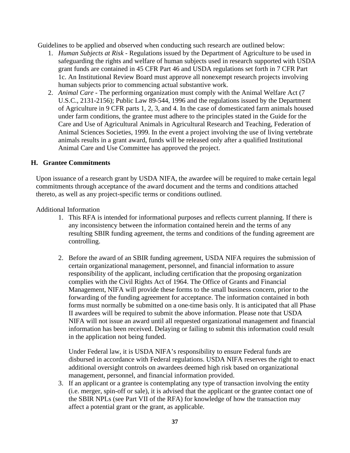Guidelines to be applied and observed when conducting such research are outlined below:

- 1. *Human Subjects at Risk* Regulations issued by the Department of Agriculture to be used in safeguarding the rights and welfare of human subjects used in research supported with USDA grant funds are contained in 45 CFR Part 46 and USDA regulations set forth in 7 CFR Part 1c. An Institutional Review Board must approve all nonexempt research projects involving human subjects prior to commencing actual substantive work.
- 2. *Animal Care* The performing organization must comply with the Animal Welfare Act (7 U.S.C., 2131-2156); Public Law 89-544, 1996 and the regulations issued by the Department of Agriculture in 9 CFR parts 1, 2, 3, and 4. In the case of domesticated farm animals housed under farm conditions, the grantee must adhere to the principles stated in the Guide for the Care and Use of Agricultural Animals in Agricultural Research and Teaching, Federation of Animal Sciences Societies, 1999. In the event a project involving the use of living vertebrate animals results in a grant award, funds will be released only after a qualified Institutional Animal Care and Use Committee has approved the project.

#### **H. Grantee Commitments**

Upon issuance of a research grant by USDA NIFA, the awardee will be required to make certain legal commitments through acceptance of the award document and the terms and conditions attached thereto, as well as any project-specific terms or conditions outlined.

#### Additional Information

- 1. This RFA is intended for informational purposes and reflects current planning. If there is any inconsistency between the information contained herein and the terms of any resulting SBIR funding agreement, the terms and conditions of the funding agreement are controlling.
- 2. Before the award of an SBIR funding agreement, USDA NIFA requires the submission of certain organizational management, personnel, and financial information to assure responsibility of the applicant, including certification that the proposing organization complies with the Civil Rights Act of 1964. The Office of Grants and Financial Management, NIFA will provide these forms to the small business concern, prior to the forwarding of the funding agreement for acceptance. The information contained in both forms must normally be submitted on a one-time basis only. It is anticipated that all Phase II awardees will be required to submit the above information. Please note that USDA NIFA will not issue an award until all requested organizational management and financial information has been received. Delaying or failing to submit this information could result in the application not being funded.

Under Federal law, it is USDA NIFA's responsibility to ensure Federal funds are disbursed in accordance with Federal regulations. USDA NIFA reserves the right to enact additional oversight controls on awardees deemed high risk based on organizational management, personnel, and financial information provided.

3. If an applicant or a grantee is contemplating any type of transaction involving the entity (i.e. merger, spin-off or sale), it is advised that the applicant or the grantee contact one of the SBIR NPLs (see Part VII of the RFA) for knowledge of how the transaction may affect a potential grant or the grant, as applicable.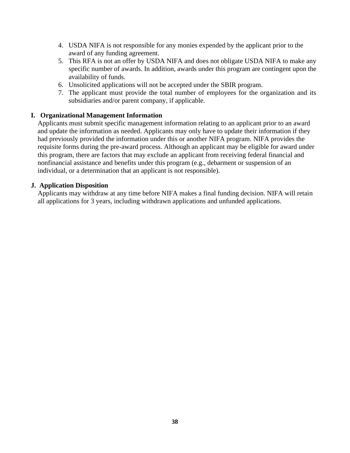- 4. USDA NIFA is not responsible for any monies expended by the applicant prior to the award of any funding agreement.
- 5. This RFA is not an offer by USDA NIFA and does not obligate USDA NIFA to make any specific number of awards. In addition, awards under this program are contingent upon the availability of funds.
- 6. Unsolicited applications will not be accepted under the SBIR program.
- 7. The applicant must provide the total number of employees for the organization and its subsidiaries and/or parent company, if applicable.

## **I. Organizational Management Information**

Applicants must submit specific management information relating to an applicant prior to an award and update the information as needed. Applicants may only have to update their information if they had previously provided the information under this or another NIFA program. NIFA provides the requisite forms during the pre-award process. Although an applicant may be eligible for award under this program, there are factors that may exclude an applicant from receiving federal financial and nonfinancial assistance and benefits under this program (e.g., debarment or suspension of an individual, or a determination that an applicant is not responsible).

#### **J. Application Disposition**

Applicants may withdraw at any time before NIFA makes a final funding decision. NIFA will retain all applications for 3 years, including withdrawn applications and unfunded applications.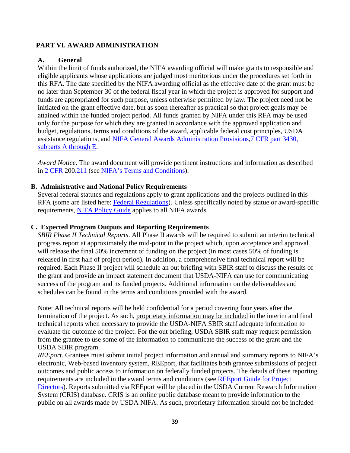## <span id="page-38-0"></span>**PART VI. AWARD ADMINISTRATION**

#### <span id="page-38-1"></span>**A. General**

Within the limit of funds authorized, the NIFA awarding official will make grants to responsible and eligible applicants whose applications are judged most meritorious under the procedures set forth in this RFA. The date specified by the NIFA awarding official as the effective date of the grant must be no later than September 30 of the federal fiscal year in which the project is approved for support and funds are appropriated for such purpose, unless otherwise permitted by law. The project need not be initiated on the grant effective date, but as soon thereafter as practical so that project goals may be attained within the funded project period. All funds granted by NIFA under this RFA may be used only for the purpose for which they are granted in accordance with the approved application and budget, regulations, terms and conditions of the award, applicable federal cost principles, USDA assistance regulations, and NIFA [General](https://ecfr.io/Title-07/pt7.15.3430) Awards [Administration](https://ecfr.io/Title-07/pt7.15.3430) Provisions,7 CFR part [3430,](https://ecfr.io/Title-07/pt7.15.3430) [subparts](https://ecfr.io/Title-07/pt7.15.3430) A through E.

*Award Notice*. The award document will provide pertinent instructions and information as described in 2 CFR [200.](https://www.ecfr.gov/cgi-bin/text-idx?SID=eba1b9aea48056a6d088063110faae32&mc=true&node=se2.1.200_1211&rgn=div8)211 (see NIFA's Terms and [Conditions\)](https://nifa.usda.gov/terms-and-conditions).

#### <span id="page-38-2"></span>**B. Administrative and National Policy Requirements**

Several federal statutes and regulations apply to grant applications and the projects outlined in this RFA (some are listed here: Federal [Regulations\)](https://nifa.usda.gov/federal-regulations). Unless specifically noted by statue or award-specific requirements, NIFA [Policy](https://nifa.usda.gov/policy-guide) Guide applies to all NIFA awards.

#### <span id="page-38-3"></span>**C. Expected Program Outputs and Reporting Requirements**

*SBIR Phase II Technical Reports*. All Phase II awards will be required to submit an interim technical progress report at approximately the mid-point in the project which, upon acceptance and approval will release the final 50% increment of funding on the project (in most cases 50% of funding is released in first half of project period). In addition, a comprehensive final technical report will be required. Each Phase II project will schedule an out briefing with SBIR staff to discuss the results of the grant and provide an impact statement document that USDA-NIFA can use for communicating success of the program and its funded projects. Additional information on the deliverables and schedules can be found in the terms and conditions provided with the award.

Note: All technical reports will be held confidential for a period covering four years after the termination of the project. As such, proprietary information may be included in the interim and final technical reports when necessary to provide the USDA-NIFA SBIR staff adequate information to evaluate the outcome of the project. For the out briefing, USDA SBIR staff may request permission from the grantee to use some of the information to communicate the success of the grant and the USDA SBIR program.

*REEport*. Grantees must submit initial project information and annual and summary reports to NIFA's electronic, Web-based inventory system, REEport, that facilitates both grantee submissions of project outcomes and public access to information on federally funded projects. The details of these reporting requirements are included in the award terms and conditions (see [REEport](https://nifa.usda.gov/resource/reeport-guide-project-directors) Guide for Project [Directors\)](https://nifa.usda.gov/resource/reeport-guide-project-directors). Reports submitted via REEport will be placed in the USDA Current Research Information System (CRIS) database. CRIS is an online public database meant to provide information to the public on all awards made by USDA NIFA. As such, proprietary information should not be included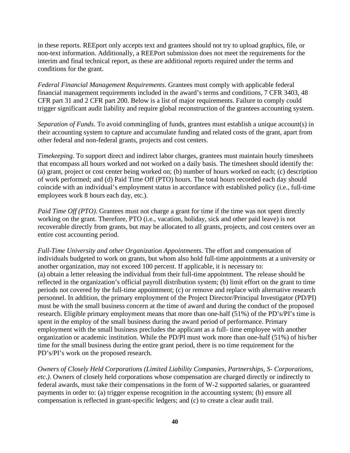in these reports. REEport only accepts text and grantees should not try to upload graphics, file, or non-text information. Additionally, a REEPort submission does not meet the requirements for the interim and final technical report, as these are additional reports required under the terms and conditions for the grant.

*Federal Financial Management Requirements*. Grantees must comply with applicable federal financial management requirements included in the award's terms and conditions, 7 CFR 3403, 48 CFR part 31 and 2 CFR part 200. Below is a list of major requirements. Failure to comply could trigger significant audit liability and require global reconstruction of the grantees accounting system.

*Separation of Funds*. To avoid commingling of funds, grantees must establish a unique account(s) in their accounting system to capture and accumulate funding and related costs of the grant, apart from other federal and non-federal grants, projects and cost centers.

*Timekeeping.* To support direct and indirect labor charges, grantees must maintain hourly timesheets that encompass all hours worked and not worked on a daily basis. The timesheet should identify the: (a) grant, project or cost center being worked on; (b) number of hours worked on each; (c) description of work performed; and (d) Paid Time Off (PTO) hours. The total hours recorded each day should coincide with an individual's employment status in accordance with established policy (i.e., full-time employees work 8 hours each day, etc.).

*Paid Time Off* (*PTO*). Grantees must not charge a grant for time if the time was not spent directly working on the grant. Therefore, PTO (i.e., vacation, holiday, sick and other paid leave) is not recoverable directly from grants, but may be allocated to all grants, projects, and cost centers over an entire cost accounting period.

*Full-Time University and other Organization Appointments*. The effort and compensation of individuals budgeted to work on grants, but whom also hold full-time appointments at a university or another organization, may not exceed 100 percent. If applicable, it is necessary to: (a) obtain a letter releasing the individual from their full-time appointment. The release should be reflected in the organization's official payroll distribution system; (b) limit effort on the grant to time periods not covered by the full-time appointment; (c) or remove and replace with alternative research personnel. In addition, the primary employment of the Project Director/Principal Investigator (PD/PI) must be with the small business concern at the time of award and during the conduct of the proposed research. Eligible primary employment means that more than one-half (51%) of the PD's/PI's time is spent in the employ of the small business during the award period of performance. Primary employment with the small business precludes the applicant as a full- time employee with another organization or academic institution. While the PD/PI must work more than one-half (51%) of his/her time for the small business during the entire grant period, there is no time requirement for the PD's/PI's work on the proposed research.

*Owners of Closely Held Corporations (Limited Liability Companies, Partnerships, S- Corporations, etc.).* Owners of closely held corporations whose compensation are charged directly or indirectly to federal awards, must take their compensations in the form of W-2 supported salaries, or guaranteed payments in order to: (a) trigger expense recognition in the accounting system; (b) ensure all compensation is reflected in grant-specific ledgers; and (c) to create a clear audit trail.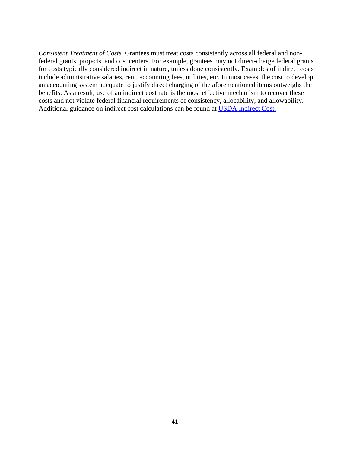*Consistent Treatment of Costs.* Grantees must treat costs consistently across all federal and nonfederal grants, projects, and cost centers. For example, grantees may not direct-charge federal grants for costs typically considered indirect in nature, unless done consistently. Examples of indirect costs include administrative salaries, rent, accounting fees, utilities, etc. In most cases, the cost to develop an accounting system adequate to justify direct charging of the aforementioned items outweighs the benefits. As a result, use of an indirect cost rate is the most effective mechanism to recover these costs and not violate federal financial requirements of consistency, allocability, and allowability. Additional guidance on indirect cost calculations can be found at USDA [Indirect](https://nifa.usda.gov/indirect-costs) Cost.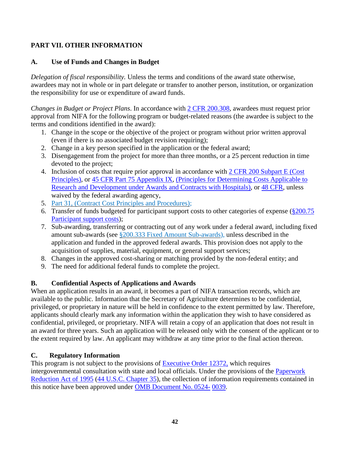# <span id="page-41-0"></span>**PART VII. OTHER INFORMATION**

# <span id="page-41-1"></span>**A. Use of Funds and Changes in Budget**

*Delegation of fiscal responsibility.* Unless the terms and conditions of the award state otherwise, awardees may not in whole or in part delegate or transfer to another person, institution, or organization the responsibility for use or expenditure of award funds.

*Changes in Budget or Project Plans*. In accordance with 2 CFR [200.308,](https://www.ecfr.gov/cgi-bin/text-idx?SID=3af89506559b05297e7d0334cb283e24&mc=true&node=se2.1.200_1308&rgn=div8) awardees must request prior approval from NIFA for the following program or budget-related reasons (the awardee is subject to the terms and conditions identified in the award):

- 1. Change in the scope or the objective of the project or program without prior written approval (even if there is no associated budget revision requiring);
- 2. Change in a key person specified in the application or the federal award;
- 3. Disengagement from the project for more than three months, or a 25 percent reduction in time devoted to the project;
- 4. Inclusion of costs that require prior approval in accordance with 2 CFR 200 [Subpart](https://www.ecfr.gov/cgi-bin/text-idx?SID=eba1b9aea48056a6d088063110faae32&mc=true&node=sp2.1.200.e&rgn=div6) E (Cost Principles), or 45 CFR Part 75 [Appendix](https://www.ecfr.gov/cgi-bin/text-idx?node=pt45.1.75&ap45.1.75_1521.ix) IX, (Principles for Determining Costs Applicable to Research and Development under Awards and Contracts with Hospitals), or 48 CFR, [unless](https://ecfr.io/Title-48/cfr31_main) waived by the federal [awarding](https://ecfr.io/Title-48/cfr31_main) agency,
- 5. Part 31, (Contract Cost Principles and [Procedures\);](https://www.ecfr.gov/cgi-bin/text-idx?SID=eba1b9aea48056a6d088063110faae32&mc=true&node=pt48.1.31&rgn=div5)
- 6. Transfer of funds budgeted for participant support costs to other categories of expense [\(§200.75](https://www.ecfr.gov/cgi-bin/text-idx?SID=eba1b9aea48056a6d088063110faae32&mc=true&node=se2.1.200_175&rgn=div8) [Participant](https://www.ecfr.gov/cgi-bin/text-idx?SID=eba1b9aea48056a6d088063110faae32&mc=true&node=se2.1.200_175&rgn=div8) support costs);
- 7. Sub-awarding, transferring or contracting out of any work under a federal award, including fixed amount sub-awards (see §200.333 Fixed Amount [Sub-awards\)](https://www.ecfr.gov/cgi-bin/text-idx?SID=eba1b9aea48056a6d088063110faae32&mc=true&node=se2.1.200_1333&rgn=div8), unless described in the application and funded in the approved federal awards. This provision does not apply to the acquisition of supplies, material, equipment, or general support services;
- 8. Changes in the approved cost-sharing or matching provided by the non-federal entity; and
- 9. The need for additional federal funds to complete the project.

# <span id="page-41-2"></span>**B. Confidential Aspects of Applications and Awards**

When an application results in an award, it becomes a part of NIFA transaction records, which are available to the public. Information that the Secretary of Agriculture determines to be confidential, privileged, or proprietary in nature will be held in confidence to the extent permitted by law. Therefore, applicants should clearly mark any information within the application they wish to have considered as confidential, privileged, or proprietary. NIFA will retain a copy of an application that does not result in an award for three years. Such an application will be released only with the consent of the applicant or to the extent required by law. An applicant may withdraw at any time prior to the final action thereon.

# <span id="page-41-3"></span>**C. Regulatory Information**

This program is not subject to the provisions of [Executive](https://www.fws.gov/policy/library/rgeo12372.pdf) Order 12372, which requires intergovernmental consultation with state and local officials. Under the provisions of the [Paperwork](https://www.reginfo.gov/public/reginfo/pra.pdf) [Reduction](https://www.reginfo.gov/public/reginfo/pra.pdf) Act of 1995 (44 U.S.C. Chapter 35), the collection of information requirements contained in this notice have been approved under OMB [Document](https://www.federalregister.gov/documents/2018/10/29/2018-23552/submission-for-omb-review-comment-request) No. 0524- [0039.](https://www.federalregister.gov/documents/2018/10/29/2018-23552/submission-for-omb-review-comment-request)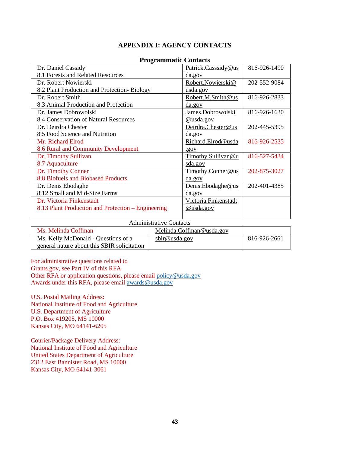## **APPENDIX I: AGENCY CONTACTS**

<span id="page-42-0"></span>

| Dr. Daniel Cassidy                                 | Patrick.Casssidy@us  | 816-926-1490 |
|----------------------------------------------------|----------------------|--------------|
| 8.1 Forests and Related Resources                  | da.gov               |              |
| Dr. Robert Nowierski                               | Robert.Nowierski@    | 202-552-9084 |
| 8.2 Plant Production and Protection-Biology        | <u>usda.gov</u>      |              |
| Dr. Robert Smith                                   | Robert.M.Smith@us    | 816-926-2833 |
| 8.3 Animal Production and Protection               | <u>da.gov</u>        |              |
| Dr. James Dobrowolski                              | James.Dobrowolski    | 816-926-1630 |
| 8.4 Conservation of Natural Resources              | @usda.gov            |              |
| Dr. Deirdra Chester                                | Deirdra.Chester@us   | 202-445-5395 |
| 8.5 Food Science and Nutrition                     | da.gov               |              |
| Mr. Richard Elrod                                  | Richard.Elrod@usda   | 816-926-2535 |
| 8.6 Rural and Community Development                | .90V                 |              |
| Dr. Timothy Sullivan                               | Timothy.Sullivan@u   | 816-527-5434 |
| 8.7 Aquaculture                                    | sda.gov              |              |
| Dr. Timothy Conner                                 | Timothy.Conner@us    | 202-875-3027 |
| 8.8 Biofuels and Biobased Products                 | da.gov               |              |
| Dr. Denis Ebodaghe                                 | Denis.Ebodaghe@us    | 202-401-4385 |
| 8.12 Small and Mid-Size Farms                      | da.gov               |              |
| Dr. Victoria Finkenstadt                           | Victoria.Finkenstadt |              |
| 8.13 Plant Production and Protection – Engineering | @usda.gov            |              |
|                                                    |                      |              |

#### **Programmatic Contacts**

#### Administrative Contacts

| Ms. Melinda Coffman                         | Melinda.Coffman@usda.gov |              |
|---------------------------------------------|--------------------------|--------------|
| Ms. Kelly McDonald - Questions of a         | sbir@usda.gov            | 816-926-2661 |
| general nature about this SBIR solicitation |                          |              |

For administrative questions related to

Grants.gov, see Part IV of this RFA Other RFA or application questions, please email [policy@usda.gov](mailto:policy@usda.gov) Awards under this RFA, please email [awards@usda.gov](mailto:awards@usda.gov)

U.S. Postal Mailing Address: National Institute of Food and Agriculture U.S. Department of Agriculture P.O. Box 419205, MS 10000 Kansas City, MO 64141-6205

Courier/Package Delivery Address: National Institute of Food and Agriculture United States Department of Agriculture 2312 East Bannister Road, MS 10000 Kansas City, MO 64141-3061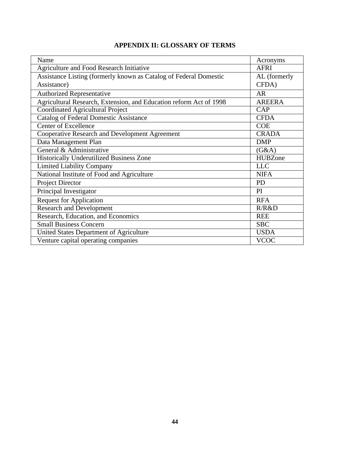# **APPENDIX II: GLOSSARY OF TERMS**

<span id="page-43-0"></span>

| Name                                                               | Acronyms       |
|--------------------------------------------------------------------|----------------|
| <b>Agriculture and Food Research Initiative</b>                    | <b>AFRI</b>    |
| Assistance Listing (formerly known as Catalog of Federal Domestic  | AL (formerly   |
| Assistance)                                                        | CFDA)          |
| Authorized Representative                                          | <b>AR</b>      |
| Agricultural Research, Extension, and Education reform Act of 1998 | <b>AREERA</b>  |
| <b>Coordinated Agricultural Project</b>                            | <b>CAP</b>     |
| <b>Catalog of Federal Domestic Assistance</b>                      | <b>CFDA</b>    |
| <b>Center of Excellence</b>                                        | <b>COE</b>     |
| Cooperative Research and Development Agreement                     | <b>CRADA</b>   |
| Data Management Plan                                               | <b>DMP</b>     |
| General & Administrative                                           | (G&A)          |
| <b>Historically Underutilized Business Zone</b>                    | <b>HUBZone</b> |
| <b>Limited Liability Company</b>                                   | <b>LLC</b>     |
| National Institute of Food and Agriculture                         | <b>NIFA</b>    |
| <b>Project Director</b>                                            | <b>PD</b>      |
| Principal Investigator                                             | PI             |
| <b>Request for Application</b>                                     | <b>RFA</b>     |
| <b>Research and Development</b>                                    | R/R&D          |
| Research, Education, and Economics                                 | <b>REE</b>     |
| <b>Small Business Concern</b>                                      | <b>SBC</b>     |
| United States Department of Agriculture                            | <b>USDA</b>    |
| Venture capital operating companies                                | <b>VCOC</b>    |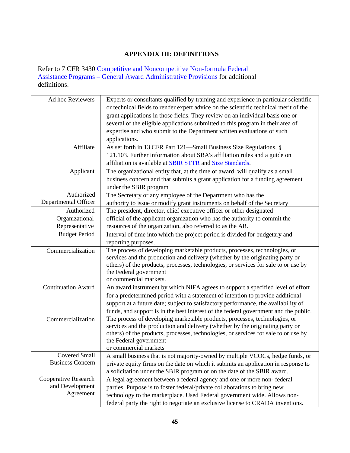# **APPENDIX III: DEFINITIONS**

<span id="page-44-0"></span>Refer to 7 CFR 3430 Competitive and [Noncompetitive](https://www.ecfr.gov/cgi-bin/text-idx?c=ecfr&SID=2a6f6bfbef4c918616eebe5353d0793c&rgn=div5&view=text&node=7%253A15.1.12.2.13&idno=7&7%253A15.1.12.2.13.1.17.2) Non-formula Federal [Assistance](https://www.ecfr.gov/cgi-bin/text-idx?c=ecfr&SID=2a6f6bfbef4c918616eebe5353d0793c&rgn=div5&view=text&node=7%253A15.1.12.2.13&idno=7&7%253A15.1.12.2.13.1.17.2) Programs – General Award [Administrative](https://www.ecfr.gov/cgi-bin/text-idx?c=ecfr&SID=2a6f6bfbef4c918616eebe5353d0793c&rgn=div5&view=text&node=7%253A15.1.12.2.13&idno=7&7%253A15.1.12.2.13.1.17.2) Provisions for additional definitions.

| Ad hoc Reviewers          | Experts or consultants qualified by training and experience in particular scientific<br>or technical fields to render expert advice on the scientific technical merit of the<br>grant applications in those fields. They review on an individual basis one or<br>several of the eligible applications submitted to this program in their area of<br>expertise and who submit to the Department written evaluations of such<br>applications. |
|---------------------------|---------------------------------------------------------------------------------------------------------------------------------------------------------------------------------------------------------------------------------------------------------------------------------------------------------------------------------------------------------------------------------------------------------------------------------------------|
| Affiliate                 | As set forth in 13 CFR Part 121-Small Business Size Regulations, §<br>121.103. Further information about SBA's affiliation rules and a guide on                                                                                                                                                                                                                                                                                             |
|                           | affiliation is available at <b>SBIR STTR</b> and <b>Size Standards</b> .                                                                                                                                                                                                                                                                                                                                                                    |
| Applicant                 | The organizational entity that, at the time of award, will qualify as a small<br>business concern and that submits a grant application for a funding agreement<br>under the SBIR program                                                                                                                                                                                                                                                    |
| Authorized                | The Secretary or any employee of the Department who has the                                                                                                                                                                                                                                                                                                                                                                                 |
| Departmental Officer      | authority to issue or modify grant instruments on behalf of the Secretary                                                                                                                                                                                                                                                                                                                                                                   |
| Authorized                | The president, director, chief executive officer or other designated                                                                                                                                                                                                                                                                                                                                                                        |
| Organizational            | official of the applicant organization who has the authority to commit the                                                                                                                                                                                                                                                                                                                                                                  |
| Representative            | resources of the organization, also referred to as the AR.                                                                                                                                                                                                                                                                                                                                                                                  |
| <b>Budget Period</b>      | Interval of time into which the project period is divided for budgetary and                                                                                                                                                                                                                                                                                                                                                                 |
|                           | reporting purposes.                                                                                                                                                                                                                                                                                                                                                                                                                         |
| Commercialization         | The process of developing marketable products, processes, technologies, or<br>services and the production and delivery (whether by the originating party or<br>others) of the products, processes, technologies, or services for sale to or use by<br>the Federal government<br>or commercial markets.                                                                                                                                      |
| <b>Continuation Award</b> | An award instrument by which NIFA agrees to support a specified level of effort<br>for a predetermined period with a statement of intention to provide additional<br>support at a future date; subject to satisfactory performance, the availability of<br>funds, and support is in the best interest of the federal government and the public.                                                                                             |
| Commercialization         | The process of developing marketable products, processes, technologies, or<br>services and the production and delivery (whether by the originating party or<br>others) of the products, processes, technologies, or services for sale to or use by<br>the Federal government<br>or commercial markets                                                                                                                                       |
| <b>Covered Small</b>      | A small business that is not majority-owned by multiple VCOCs, hedge funds, or                                                                                                                                                                                                                                                                                                                                                              |
| <b>Business Concern</b>   | private equity firms on the date on which it submits an application in response to<br>a solicitation under the SBIR program or on the date of the SBIR award.                                                                                                                                                                                                                                                                               |
| Cooperative Research      | A legal agreement between a federal agency and one or more non-federal                                                                                                                                                                                                                                                                                                                                                                      |
| and Development           | parties. Purpose is to foster federal/private collaborations to bring new                                                                                                                                                                                                                                                                                                                                                                   |
| Agreement                 | technology to the marketplace. Used Federal government wide. Allows non-                                                                                                                                                                                                                                                                                                                                                                    |
|                           | federal party the right to negotiate an exclusive license to CRADA inventions.                                                                                                                                                                                                                                                                                                                                                              |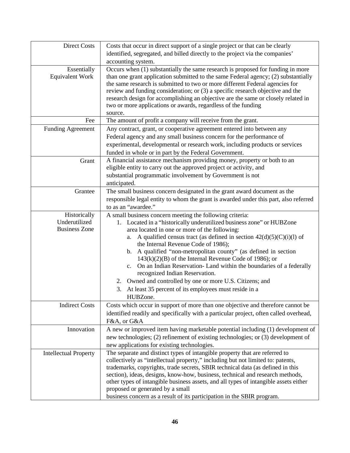| <b>Direct Costs</b>                                   | Costs that occur in direct support of a single project or that can be clearly<br>identified, segregated, and billed directly to the project via the companies'<br>accounting system.                                                                                                                                                                                                                                                                                                                                                                                                                                                                                                        |
|-------------------------------------------------------|---------------------------------------------------------------------------------------------------------------------------------------------------------------------------------------------------------------------------------------------------------------------------------------------------------------------------------------------------------------------------------------------------------------------------------------------------------------------------------------------------------------------------------------------------------------------------------------------------------------------------------------------------------------------------------------------|
| Essentially<br><b>Equivalent Work</b>                 | Occurs when (1) substantially the same research is proposed for funding in more<br>than one grant application submitted to the same Federal agency; (2) substantially<br>the same research is submitted to two or more different Federal agencies for<br>review and funding consideration; or (3) a specific research objective and the<br>research design for accomplishing an objective are the same or closely related in<br>two or more applications or awards, regardless of the funding<br>source.                                                                                                                                                                                    |
| Fee                                                   | The amount of profit a company will receive from the grant.                                                                                                                                                                                                                                                                                                                                                                                                                                                                                                                                                                                                                                 |
| <b>Funding Agreement</b>                              | Any contract, grant, or cooperative agreement entered into between any<br>Federal agency and any small business concern for the performance of<br>experimental, developmental or research work, including products or services<br>funded in whole or in part by the Federal Government.                                                                                                                                                                                                                                                                                                                                                                                                     |
| Grant                                                 | A financial assistance mechanism providing money, property or both to an<br>eligible entity to carry out the approved project or activity, and<br>substantial programmatic involvement by Government is not<br>anticipated.                                                                                                                                                                                                                                                                                                                                                                                                                                                                 |
| Grantee                                               | The small business concern designated in the grant award document as the<br>responsible legal entity to whom the grant is awarded under this part, also referred<br>to as an "awardee."                                                                                                                                                                                                                                                                                                                                                                                                                                                                                                     |
| Historically<br>Underutilized<br><b>Business Zone</b> | A small business concern meeting the following criteria:<br>1. Located in a "historically underutilized business zone" or HUBZone<br>area located in one or more of the following:<br>A qualified census tract (as defined in section $42(d)(5)(C)(i)(l)$ of<br>a.<br>the Internal Revenue Code of 1986);<br>b. A qualified "non-metropolitan county" (as defined in section<br>$143(k)(2)(B)$ of the Internal Revenue Code of 1986); or<br>c. On an Indian Reservation-Land within the boundaries of a federally<br>recognized Indian Reservation.<br>2. Owned and controlled by one or more U.S. Citizens; and<br>At least 35 percent of its employees must reside in a<br>3.<br>HUBZone. |
| <b>Indirect Costs</b>                                 | Costs which occur in support of more than one objective and therefore cannot be<br>identified readily and specifically with a particular project, often called overhead,<br>F&A, or G&A                                                                                                                                                                                                                                                                                                                                                                                                                                                                                                     |
| Innovation                                            | A new or improved item having marketable potential including (1) development of<br>new technologies; (2) refinement of existing technologies; or (3) development of<br>new applications for existing technologies.                                                                                                                                                                                                                                                                                                                                                                                                                                                                          |
| <b>Intellectual Property</b>                          | The separate and distinct types of intangible property that are referred to<br>collectively as "intellectual property," including but not limited to: patents,<br>trademarks, copyrights, trade secrets, SBIR technical data (as defined in this<br>section), ideas, designs, know-how, business, technical and research methods,<br>other types of intangible business assets, and all types of intangible assets either<br>proposed or generated by a small<br>business concern as a result of its participation in the SBIR program.                                                                                                                                                     |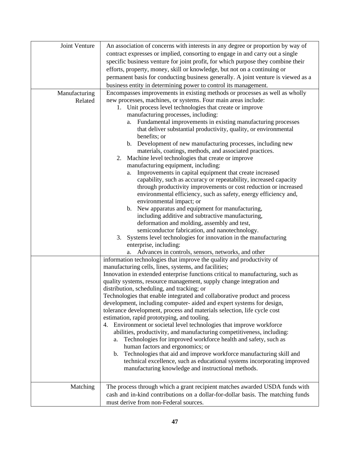| Joint Venture | An association of concerns with interests in any degree or proportion by way of       |
|---------------|---------------------------------------------------------------------------------------|
|               | contract expresses or implied, consorting to engage in and carry out a single         |
|               | specific business venture for joint profit, for which purpose they combine their      |
|               | efforts, property, money, skill or knowledge, but not on a continuing or              |
|               | permanent basis for conducting business generally. A joint venture is viewed as a     |
|               | business entity in determining power to control its management.                       |
| Manufacturing | Encompasses improvements in existing methods or processes as well as wholly           |
| Related       | new processes, machines, or systems. Four main areas include:                         |
|               | 1. Unit process level technologies that create or improve                             |
|               | manufacturing processes, including:                                                   |
|               | Fundamental improvements in existing manufacturing processes<br>a.                    |
|               | that deliver substantial productivity, quality, or environmental                      |
|               | benefits; or                                                                          |
|               | b. Development of new manufacturing processes, including new                          |
|               | materials, coatings, methods, and associated practices.                               |
|               | Machine level technologies that create or improve<br>2.                               |
|               | manufacturing equipment, including:                                                   |
|               | Improvements in capital equipment that create increased<br>a.                         |
|               | capability, such as accuracy or repeatability, increased capacity                     |
|               | through productivity improvements or cost reduction or increased                      |
|               | environmental efficiency, such as safety, energy efficiency and,                      |
|               | environmental impact; or                                                              |
|               | New apparatus and equipment for manufacturing,<br>b.                                  |
|               | including additive and subtractive manufacturing,                                     |
|               | deformation and molding, assembly and test,                                           |
|               | semiconductor fabrication, and nanotechnology.                                        |
|               | 3. Systems level technologies for innovation in the manufacturing                     |
|               | enterprise, including:                                                                |
|               | Advances in controls, sensors, networks, and other<br>a.                              |
|               | information technologies that improve the quality and productivity of                 |
|               | manufacturing cells, lines, systems, and facilities;                                  |
|               | Innovation in extended enterprise functions critical to manufacturing, such as        |
|               | quality systems, resource management, supply change integration and                   |
|               | distribution, scheduling, and tracking; or                                            |
|               | Technologies that enable integrated and collaborative product and process             |
|               | development, including computer- aided and expert systems for design,                 |
|               | tolerance development, process and materials selection, life cycle cost               |
|               | estimation, rapid prototyping, and tooling.                                           |
|               | 4. Environment or societal level technologies that improve workforce                  |
|               | abilities, productivity, and manufacturing competitiveness, including:                |
|               | Technologies for improved workforce health and safety, such as<br>a.                  |
|               | human factors and ergonomics; or                                                      |
|               | Technologies that aid and improve workforce manufacturing skill and<br>$\mathbf{b}$ . |
|               | technical excellence, such as educational systems incorporating improved              |
|               | manufacturing knowledge and instructional methods.                                    |
|               |                                                                                       |
| Matching      | The process through which a grant recipient matches awarded USDA funds with           |
|               | cash and in-kind contributions on a dollar-for-dollar basis. The matching funds       |
|               | must derive from non-Federal sources.                                                 |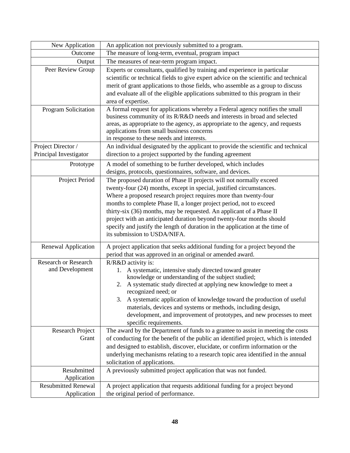| New Application                              | An application not previously submitted to a program.                                                                                                 |
|----------------------------------------------|-------------------------------------------------------------------------------------------------------------------------------------------------------|
| Outcome                                      | The measure of long-term, eventual, program impact                                                                                                    |
| Output                                       | The measures of near-term program impact.                                                                                                             |
| Peer Review Group                            | Experts or consultants, qualified by training and experience in particular                                                                            |
|                                              | scientific or technical fields to give expert advice on the scientific and technical                                                                  |
|                                              | merit of grant applications to those fields, who assemble as a group to discuss                                                                       |
|                                              | and evaluate all of the eligible applications submitted to this program in their                                                                      |
|                                              | area of expertise.                                                                                                                                    |
| Program Solicitation                         | A formal request for applications whereby a Federal agency notifies the small                                                                         |
|                                              | business community of its R/R&D needs and interests in broad and selected                                                                             |
|                                              | areas, as appropriate to the agency, as appropriate to the agency, and requests                                                                       |
|                                              | applications from small business concerns                                                                                                             |
|                                              | in response to these needs and interests.                                                                                                             |
| Project Director /<br>Principal Investigator | An individual designated by the applicant to provide the scientific and technical                                                                     |
|                                              | direction to a project supported by the funding agreement                                                                                             |
| Prototype                                    | A model of something to be further developed, which includes                                                                                          |
|                                              | designs, protocols, questionnaires, software, and devices.                                                                                            |
| Project Period                               | The proposed duration of Phase II projects will not normally exceed                                                                                   |
|                                              | twenty-four (24) months, except in special, justified circumstances.                                                                                  |
|                                              | Where a proposed research project requires more than twenty-four                                                                                      |
|                                              | months to complete Phase II, a longer project period, not to exceed                                                                                   |
|                                              | thirty-six (36) months, may be requested. An applicant of a Phase II                                                                                  |
|                                              | project with an anticipated duration beyond twenty-four months should<br>specify and justify the length of duration in the application at the time of |
|                                              | its submission to USDA/NIFA.                                                                                                                          |
|                                              |                                                                                                                                                       |
| Renewal Application                          | A project application that seeks additional funding for a project beyond the                                                                          |
|                                              | period that was approved in an original or amended award.                                                                                             |
| <b>Research or Research</b>                  | R/R&D activity is:                                                                                                                                    |
| and Development                              | A systematic, intensive study directed toward greater<br>1.                                                                                           |
|                                              | knowledge or understanding of the subject studied;                                                                                                    |
|                                              | A systematic study directed at applying new knowledge to meet a<br>2.<br>recognized need; or                                                          |
|                                              | 3. A systematic application of knowledge toward the production of useful                                                                              |
|                                              | materials, devices and systems or methods, including design,                                                                                          |
|                                              | development, and improvement of prototypes, and new processes to meet                                                                                 |
|                                              | specific requirements.                                                                                                                                |
| <b>Research Project</b>                      | The award by the Department of funds to a grantee to assist in meeting the costs                                                                      |
| Grant                                        | of conducting for the benefit of the public an identified project, which is intended                                                                  |
|                                              | and designed to establish, discover, elucidate, or confirm information or the                                                                         |
|                                              | underlying mechanisms relating to a research topic area identified in the annual                                                                      |
|                                              | solicitation of applications.                                                                                                                         |
| Resubmitted                                  | A previously submitted project application that was not funded.                                                                                       |
| Application                                  |                                                                                                                                                       |
| <b>Resubmitted Renewal</b>                   | A project application that requests additional funding for a project beyond                                                                           |
| Application                                  | the original period of performance.                                                                                                                   |